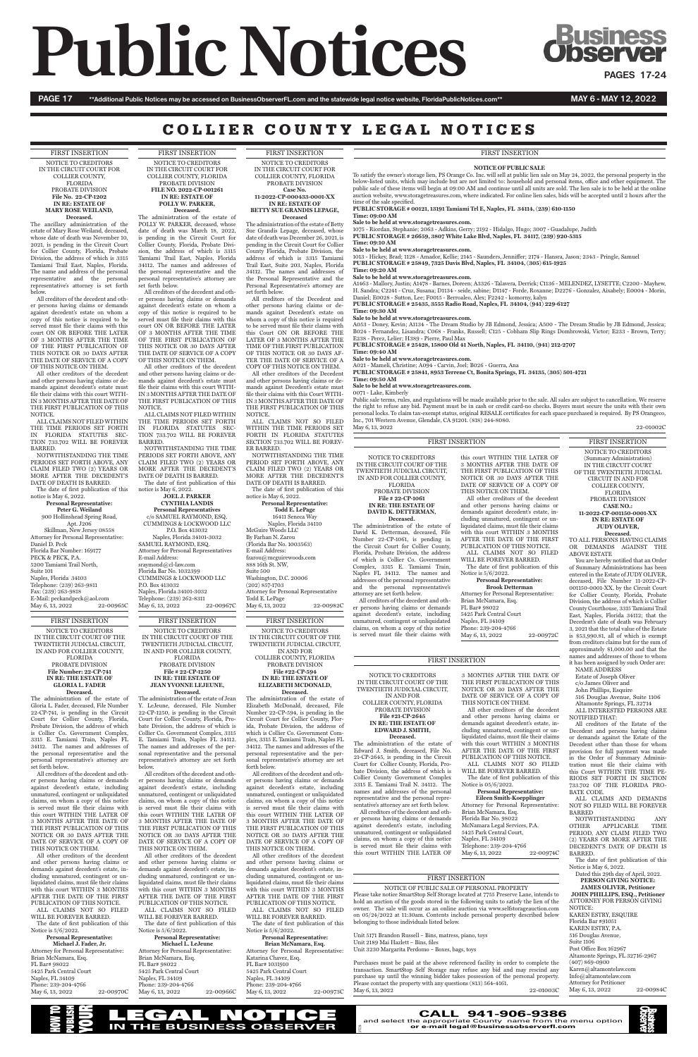# **Public Notices discussiness**

PAGE 17 \*\*Additional Public Notices may be accessed on BusinessObserverFL.com and the statewide legal notice website, FloridaPublicNotices.com\*\* MAY 6 - MAY 6 - MAY 12, 2022

# COLLIER COUNTY LEGAL NOTICES

FIRST INSERTION NOTICE TO CREDITORS IN THE CIRCUIT COURT OF THE TWENTIETH JUDICIAL CIRCUIT, IN AND FOR COLLIER COUNTY, FLORIDA PROBATE DIVISION **File Number: 22-CP-741 IN RE: THE ESTATE OF GLORIA L. FADER Deceased.**

The administration of the estate of Gloria L. Fader, deceased, File Number 22-CP-741, is pending in the Circuit Court for Collier County, Florida, Probate Division, the address of which is Collier Co. Government Complex, 3315 E. Tamiami Train, Naples FL 34112. The names and addresses of the personal representative and the personal representative's attorney are

set forth below.

Attorney for Personal Representative: Brian McNamara, Esq. FL Bar# 98022 5425 Park Central Court Naples, FL 34109 Phone: 239-204-4766 May 6, 13, 2022 22-00970C

All creditors of the decedent and other persons having claims or demands against decedent's estate, including unmatured, contingent or unliquidated claims, on whom a copy of this notice is served must file their claims with this court WITHIN THE LATER OF 3 MONTHS AFTER THE DATE OF THE FIRST PUBLICATION OF THIS NOTICE OR 30 DAYS AFTER THE DATE OF SERVICE OF A COPY OF THIS NOTICE ON THEM.

All other creditors of the decedent and other persons having claims or demands against decedent's estate, including unmatured, contingent or unliquidated claims, must file their claims with this court WITHIN 3 MONTHS AFTER THE DATE OF THE FIRST PUBLICATION OF THIS NOTICE.

ALL CLAIMS NOT SO FILED WILL BE FOREVER BARRED.

The date of first publication of this Notice is 5/6/2022.

> Attorney for Personal Representative: Brian McNamara, Esq. FL Bar# 98022 5425 Park Central Court Naples, FL 34109 Phone: 239-204-4766 May 6, 13, 2022 22-00966C

#### **Personal Representative: Michael J. Fader, Jr.**

FIRST INSERTION NOTICE TO CREDITORS IN THE CIRCUIT COURT OF THE TWENTIETH JUDICIAL CIRCUIT, IN AND FOR COLLIER COUNTY, **FLORIDA** PROBATE DIVISION **File # 22-CP-1250**

#### **IN RE: THE ESTATE OF JEAN YVONNE LEJEUNE, Deceased.**

The administration of the estate of Jean Y. LeJeune, deceased, File Number 22-CP-1250, is pending in the Circuit Court for Collier County, Florida, Probate Division, the address of which is Collier Co. Government Complex, 3315 E. Tamiami Train, Naples FL 34112. The names and addresses of the personal representative and the personal representative's attorney are set forth

below.

**Personal Representative: Peter G. Weiland** 900 Hollinshead Spring Road, Apt. J206 Skillman, New Jersey 08558 Attorney for Personal Representative: Daniel D. Peck Florida Bar Number: 169177 PECK & PECK, P.A. 5200 Tamiami Trail North, Suite 101 Naples, Florida 34103 Telephone: (239) 263-9811 Fax: (239) 263-9818 E-Mail: peckandpeck@aol.com<br>May 6, 13, 2022 22-00965C May  $6, 13, 2022$ 

> All creditors of the decedent and other persons having claims or demands against decedent's estate, including unmatured, contingent or unliquidated claims, on whom a copy of this notice is served must file their claims with this court WITHIN THE LATER OF 3 MONTHS AFTER THE DATE OF THE FIRST PUBLICATION OF THIS NOTICE OR 30 DAYS AFTER THE DATE OF SERVICE OF A COPY OF THIS NOTICE ON THEM.

All other creditors of the decedent and other persons having claims or demands against decedent's estate, including unmatured, contingent or unliquidated claims, must file their claims with this court WITHIN 3 MONTHS AFTER THE DATE OF THE FIRST PUBLICATION OF THIS NOTICE. ALL CLAIMS NOT SO FILED WILL BE FOREVER BARRED. The date of first publication of this Notice is 5/6/2022.

#### **Personal Representative: Michael L. LeJeune**

**Personal Representatives** c/o SAMUEL RAYMOND, ESQ. CUMMINGS & LOCKWOOD LLC P.O. Box 413032 Naples, Florida 34101-3032 SAMUEL RAYMOND, ESQ. Attorney for Personal Representatives E-mail Address: sraymond@cl-law.com Florida Bar No. 1032399 CUMMINGS & LOCKWOOD LLC P.O. Box 413032 Naples, Florida 34101-3032 Telephone: (239) 262-8311<br>May 6, 13, 2022 22-00967C May 6, 13, 2022

FIRST INSERTION NOTICE TO CREDITORS IN THE CIRCUIT COURT FOR COLLIER COUNTY, FLORIDA PROBATE DIVISION **File No. 22-CP-1202 IN RE: ESTATE OF MARY ROSE WEILAND, Deceased.**

The ancillary administration of the estate of Mary Rose Weiland, deceased, whose date of death was November 10, 2021, is pending in the Circuit Court for Collier County, Florida, Probate Division, the address of which is 3315 Tamiami Trail East, Naples, Florida. The name and address of the personal representative and the personal representative's attorney is set forth below.

All creditors of the decedent and other persons having claims or demands against decedent's estate on whom a copy of this notice is required to be served must file their claims with this court ON OR BEFORE THE LATER OF 3 MONTHS AFTER THE TIME OF THE FIRST PUBLICATION OF THIS NOTICE OR 30 DAYS AFTER THE DATE OF SERVICE OF A COPY OF THIS NOTICE ON THEM.

> Attorney for Personal Representative: Katarina Chavez, Esq. FL Bar# 1031910 5425 Park Central Court Naples, FL 34109 Phone: 239-204-4766 May 6, 13, 2022 22-00973C

All other creditors of the decedent and other persons having claims or demands against decedent's estate must file their claims with this court WITH-IN 3 MONTHS AFTER THE DATE OF THE FIRST PUBLICATION OF THIS NOTICE.

ALL CLAIMS NOT FILED WITHIN THE TIME PERIODS SET FORTH IN FLORIDA STATUTES SEC-TION 733.702 WILL BE FOREVER BARRED.

NOTWITHSTANDING THE TIME PERIODS SET FORTH ABOVE, ANY CLAIM FILED TWO (2) YEARS OR MORE AFTER THE DECEDENT'S DATE OF DEATH IS BARRED.

The date of first publication of this notice is May 6, 2022.

> **Personal Representative: Todd E. LePage** 16411 Seneca Way Naples, Florida 34110 McGuire Woods LLC By Farhan N. Zarou (Florida Bar No. 1003563) E-mail Address: fzarou@mcguirewoods.com 888 16th St. NW, Suite 500 Washington, D.C. 20006 (202) 857-1703 Attorney for Personal Representative Todd E. LePage May 6, 13, 2022 22-00982C

FIRST INSERTION NOTICE TO CREDITORS IN THE CIRCUIT COURT FOR COLLIER COUNTY, FLORIDA PROBATE DIVISION **FILE NO. 2022-CP-001261 IN RE: ESTATE OF POLLY W. PARKER,**

## **Deceased.**

The administration of the estate of POLLY W. PARKER, deceased, whose date of death was March 18, 2022, is pending in the Circuit Court for Collier County, Florida, Probate Division, the address of which is 3315 Tamiami Trail East, Naples, Florida 34112. The names and addresses of the personal representative and the personal representative's attorney are set forth below.

All creditors of the decedent and other persons having claims or demands against decedent's estate on whom a copy of this notice is required to be served must file their claims with this court ON OR BEFORE THE LATER OF 3 MONTHS AFTER THE TIME OF THE FIRST PUBLICATION OF THIS NOTICE OR 30 DAYS AFTER THE DATE OF SERVICE OF A COPY OF THIS NOTICE ON THEM.

All other creditors of the decedent and other persons having claims or demands against decedent's estate must file their claims with this court WITH-IN 3 MONTHS AFTER THE DATE OF THE FIRST PUBLICATION OF THIS NOTICE.

ALL CLAIMS NOT FILED WITHIN THE TIME PERIODS SET FORTH IN FLORIDA STATUTES SEC-TION 733.702 WILL BE FOREVER BARRED.

NOTWITHSTANDING THE TIME PERIODS SET FORTH ABOVE, ANY CLAIM FILED TWO (2) YEARS OR MORE AFTER THE DECEDENT'S DATE OF DEATH IS BARRED. The date of first publication of this

notice is May 6, 2022. **JOEL J. PARKER**

# **CYNTHIA LANDIS**

ourt for Collier County, Florida bate Division, the address of which is Collier County Government Complex 3315 E. Tamiami Trail N. 34112. The names and addresses of the personal representative and the personal representative's attorney are set forth below. All creditors of the decedent and oth-

FIRST INSERTION NOTICE TO CREDITORS IN THE CIRCUIT COURT OF THE TWENTIETH JUDICIAL CIRCUIT,

IN AND FOR COLLIER COUNTY, FLORIDA PROBATE DIVISION **File #22-CP-594 IN RE: THE ESTATE OF ELIZABETH MCDONALD,**

> **Eileen Smith-Koepplinger** Attorney for Personal Representative: Brian McNamara, Esq. Florida Bar No. 98022 McNamara Legal Services, P.A. 5425 Park Central Court, Naples, FL 34109 Telephone: 239-204-4766 May 6, 13, 2022 22-00974C

## Naple addresses of the personal representative attorney are set forth below. claims, on whom a copy of this notice is served must file their claims with

of wh Comp

**Deceased.**  The administration of the estate of Elizabeth McDonald, deceased, File Number 22-CP-594, is pending in the Circuit Court for Collier County, Florida, Probate Division, the address of which is Collier Co. Government Complex, 3315 E. Tamiami Train, Naples FL 34112. The names and addresses of the personal representative and the personal representative's attorney are set forth below. All creditors of the decedent and other persons having claims or demands against decedent's estate, including unmatured, contingent or unliquidated claims, on whom a copy of this notice is served must file their claims with this court WITHIN THE LATER OF 3 MONTHS AFTER THE DATE OF THE FIRST PUBLICATION OF THIS NOTICE OR 30 DAYS AFTER THE DATE OF SERVICE OF A COPY OF THIS NOTICE ON THEM. All other creditors of the decedent and other persons having claims or demands against decedent's estate, including unmatured, contingent or unliquidated claims, must file their claims with this court WITHIN 3 MONTHS AFTER THE DATE OF THE FIRST PUBLICATION OF THIS NOTICE. ALL CLAIMS NOT SO FILED WILL BE FOREVER BARRED. The date of first publication of this Notice is 5/6/2022.

Naples, FL 34109 Phone: 239-204-4766 May 6, 13, 2022 22-00972C

#### **Personal Representative: Brian McNamara, Esq.**

Purchases must be paid at the above referenced facility in order to complete the transaction. SmartStop Self Storage may refuse any bid and may rescind any purchase up until the winning bidder takes possession of the personal property. Please contact the property with any questions (813) 564-4161. May 6, 13, 2022 22-01003C

FIRST INSERTION NOTICE TO CREDITORS IN THE CIRCUIT COURT FOR COLLIER COUNTY, FLORIDA PROBATE DIVISION

#### **Case No. 11-2022-CP-000433-0001-XX IN RE: ESTATE OF BETTY SUE GRANDIS LEPAGE,**

**Deceased**  The administration of the estate of Betty Sue Grandis Lepage, deceased, whose date of death was December 26, 2021, is pending in the Circuit Court for Collier County Florida, Probate Division, the address of which is 3315 Tamiami Trail East, Suite 203, Naples, Florida 34112. The names and addresses of the Personal Representative and the Personal Representative's attorney are set forth below.

> Order been entered in the Estate<mark>r</mark><br>22-CPdeceased, File Number 11-2022-CP-001150-0001-XX, by the Circuit Court for Collier County, Florida, Probate Division, the address of which is Collier County Courthouse, 3315 Tamiami Trail East, Naples, Florida 34112; that the Decedent's date of death was February 3, 2021 that the total value of the Estate is \$53,990.81, all of which is exempt from creditors claims but for the sum of approximately \$1,000.00 and that the names and addresses of those to whom it has been assigned by such Order are:

All creditors of the Decedent and other persons having claims or demands against Decedent's estate on whom a copy of this notice is required to be served must file their claims with this Court ON OR BEFORE THE LATER OF 3 MONTHS AFTER THE TIME OF THE FIRST PUBLICATION OF THIS NOTICE OR 30 DAYS AF-TER THE DATE OF SERVICE OF A COPY OF THIS NOTICE ON THEM.

> Dated this 29th day of April, 2022. **PERSON GIVING NOTICE: JAMES OLIVER, Petitioner JOHN PHILLIPS, ESQ., Petitioner** ATTORNEY FOR PERSON GIVING NOTICE: KAREN ESTRY, ESQUIRE Florida Bar #91051 KAREN ESTRY, P.A. 516 Douglas Avenue, Suite 1106 Post Office Box 162967 Altamonte Springs, FL 32716-2967 (407) 869-0900 Karen@altamontelaw.com Info@altamontelaw.com Attorney for Petitioner May 6, 13, 2022 22-00984C

All other creditors of the Decedent and other persons having claims or demands against Decedent's estate must file their claims with this Court WITH-IN 3 MONTHS AFTER THE DATE OF THE FIRST PUBLICATION OF THIS NOTICE.

ALL CLAIMS NOT SO FILED WITHIN THE TIME PERIODS SET FORTH IN FLORIDA STATUTES SECTION 733.702 WILL BE FOREV-ER BARRED.

NOTWITHSTANDING THE TIME PERIOD SET FORTH ABOVE, ANY CLAIM FILED TWO (2) YEARS OR MORE AFTER THE DECEDENT'S DATE OF DEATH IS BARRED.

The date of first publication of this notice is May 6, 2022.

#### **NOTICE OF PUBLIC SALE**

To satisfy the owner's storage lien, PS Orange Co. Inc. will sell at public lien sale on May 24, 2022, the personal property in the below-listed units, which may include but are not limited to: household and personal items, office and other equipment. The public sale of these items will begin at 09:00 AM and continue until all units are sold. The lien sale is to be held at the online auction website, www.storagetreasures.com, where indicated. For online lien sales, bids will be accepted until 2 hours after the time of the sale specified.

**PUBLIC STORAGE # 00121, 13191 Tamiami Trl E, Naples, FL 34114, (239) 610-1150**

## **Time: 09:00 AM**

**Sale to be held at www.storagetreasures.com.** 1075 - Riordan, Stephanie; 2063 - Adkins, Gerry; 2192 - Hidalgo, Hugo; 3007 - Guadalupe, Judith

**PUBLIC STORAGE # 26659, 3807 White Lake Blvd, Naples, FL 34117, (239) 920-5315**

**Time: 09:10 AM**

**Sale to be held at www.storagetreasures.com.**

1013 - Hickey, Brad; 1128 - Amador, Kellie; 2145 - Saunders, Jenniffer; 2174 - Hansra, Jason; 2343 - Pringle, Samuel **PUBLIC STORAGE # 25849, 7325 Davis Blvd, Naples, FL 34104, (305) 615-1925**

## **Time: 09:20 AM**

**Sale to be held at www.storagetreasures.com.** A1463 - Mallory, Justin; A1478 - Barnes, Doreen; A3326 - Talavera, Derrick; C1136 - MELENDEZ, LYSETTE; C2200 - Mayhew,

H. Sandra; C2241 - Cruz, Susana; D1134 - seide, sabine; D1147 - Forde, Roxanne; D2276 - Gonzalez, Aixabely; E0004 - Morin, Daniel; E0028 - Sutton, Lee; F0015 - Berroaleo, Alex; F2242 - komorny, kalyn **PUBLIC STORAGE # 25435, 3555 Radio Road, Naples, FL 34104, (941) 229-6127**

#### **Time: 09:30 AM**

#### **Sale to be held at www.storagetreasures.com.**

A053 - Doney, Kevin; A1134 - The Dream Studio by JB Edmond, Jessica; A500 - The Dream Studio by JB Edmond, Jessica; B024 - Fernandez, Lisandra; C068 - Franks, Russell; C125 - Cobham Slip Rings Dombrowski, Victor; E233 - Brown, Terry; E238 - Perez, Lelier; H389 - Pierre, Paul Max **PUBLIC STORAGE # 25428, 15800 Old 41 North, Naples, FL 34110, (941) 212-2707**

**Time: 09:40 AM Sale to be held at www.storagetreasures.com.**

A021 - Mameli, Christine; A094 - Carvin, Joel; B026 - Guerra, Ana

**PUBLIC STORAGE # 25841, 8953 Terrene Ct, Bonita Springs, FL 34135, (305) 501-4721**

**Time: 09:50 AM**

**Sale to be held at www.storagetreasures.com.**

## 0071 - Lake, Kimberly

Public sale terms, rules, and regulations will be made available prior to the sale. All sales are subject to cancellation. We reserve the right to refuse any bid. Payment must be in cash or credit card-no checks. Buyers must secure the units with their own personal locks. To claim tax-exempt status, original RESALE certificates for each space purchased is required. By PS Orangeco, Inc., 701 Western Avenue, Glendale, CA 91201. (818) 244-8080. May 6, 13, 2022 22-01002C

NOTICE TO CREDITORS IN THE CIRCUIT COURT OF THE TWENTIETH JUDICIAL CIRCUIT, IN AND FOR COLLIER COUNTY, FLORIDA

PROBATE DIVISION **File #21-CP-2645 IN RE: THE ESTATE OF EDWARD J. SMITH,**

**Deceased.**  The administration of the estate of Edward J. Smith, deceased, File No. 21-CP-2645, is pending in the Circuit

er persons having claims or demands against decedent's estate, including unmatured, contingent or unliquidated claims, on whom a copy of this notice is served must file their claims with this court WITHIN THE LATER OF

3 MONTHS AFTER THE DATE OF THE FIRST PUBLICATION OF THIS NOTICE OR 30 DAYS AFTER THE DATE OF SERVICE OF A COPY OF THIS NOTICE ON THEM.

All other creditors of the decedent and other persons having claims or demands against decedent's estate, including unmatured, contingent or unliquidated claims, must file their claims with this court WITHIN 3 MONTHS AFTER THE DATE OF THE FIRST PUBLICATION OF THIS NOTICE.

ALL CLAIMS NOT SO FILE

WILL BE FOREVER BARRED. The date of first publication of this Notice is 05/6/2022.

## **Personal Representative:**

and the personal representative's All creditors of the decedent and other persons having claims or demands against decedent's estate, including unmatured, contingent or unliquidated

**Brook Detterman** Attorney for Personal Representative: Brian McNamara, Esq. FL Bar# 98022 5425 Park Central Court

#### FIRST INSERTION

NOTICE OF PUBLIC SALE OF PERSONAL PROPERTY Please take notice SmartStop Self Storage located at 7755 Preserve Lane, intends to hold an auction of the goods stored in the following units to satisfy the lien of the owner. The sale will occur as an online auction via www.selfstorageauction.com on 05/24/2022 at 11:30am. Contents include personal property described below belonging to those individuals listed below.

Unit 5171 Brandon Russell – Bins, matress, piano, toys Unit 2189 Mai Hazlett – Bins, files Unit 3230 Margarita Perdomo – Boxes, bags, toys

 $\tilde{a}$ 

| <b>FIRST INSERTION</b>                                   |                                           | <b>FIRST INSERTION</b>                 |  |
|----------------------------------------------------------|-------------------------------------------|----------------------------------------|--|
|                                                          |                                           | NOTICE TO CREDITORS                    |  |
| NOTICE TO CREDITORS                                      | this court WITHIN THE LATER OF            | (Summary Administration)               |  |
| IN THE CIRCUIT COURT OF THE                              | 3 MONTHS AFTER THE DATE OF                | IN THE CIRCUIT COURT                   |  |
| TWENTIETH JUDICIAL CIRCUIT,                              | THE FIRST PUBLICATION OF THIS             | OF THE TWENTIETH JUDICIAL              |  |
| IN AND FOR COLLIER COUNTY,                               | NOTICE OR 30 DAYS AFTER THE               | CIRCUIT IN AND FOR                     |  |
| <b>FLORIDA</b>                                           | DATE OF SERVICE OF A COPY OF              | COLLIER COUNTY,                        |  |
| PROBATE DIVISION                                         | THIS NOTICE ON THEM.                      | <b>FLORIDA</b>                         |  |
| File # 22-CP-1061                                        | All other creditors of the decedent       | PROBATE DIVISION                       |  |
| IN RE: THE ESTATE OF                                     | and other persons having claims or        | <b>CASE NO.:</b>                       |  |
| DAVID K. DETTERMAN,                                      | demands against decedent's estate, in-    | 11-2022-CP-001150-0001-XX              |  |
| Deceased.                                                | cluding unmatured, contingent or un-      | <b>IN RE: ESTATE OF</b>                |  |
| The administration of the estate of                      | liquidated claims, must file their claims | <b>JUDY OLIVER,</b>                    |  |
| David K. Detterman, deceased, File                       | with this court WITHIN 3 MONTHS           | Deceased.                              |  |
| Number 22-CP-1061, is pending in                         | AFTER THE DATE OF THE FIRST               | TO ALL PERSONS HAVING CLAIM            |  |
| the Circuit Court for Collier County,                    | PUBLICATION OF THIS NOTICE.               | <b>DEMANDS</b><br>AGAINST<br>OR.<br>TH |  |
| Florida, Probate Division, the address                   | ALL CLAIMS NOT SO FILED                   | <b>ABOVE ESTATE</b>                    |  |
| of which is Collier Co. Government                       | WILL BE FOREVER BARRED.                   | You are hereby notified that an Ord    |  |
| Complex, 3315 E. Tamiami Train,                          | The date of first publication of this     | of Summary Administrations has bee     |  |
| Naples FL 34112. The names and<br>Notice is $5/6/2022$ . |                                           | entered in the Estate of JUDY OLIVE    |  |
| addresses of the personal representative                 | <b>Personal Representative:</b>           | deceased. File Number 11-2022-C        |  |

NAME ADDRESS Estate of Joseph Oliver

- c/o James Oliver and
- John Phillips, Esquire
- 516 Douglas Avenue, Suite 1106

Altamonte Springs, FL 32714 ALL INTERESTED PERSONS ARE NOTIFIED THAT:

All creditors of the Estate of the Decedent and persons having claims or demands against the Estate of the Decedent other than those for whom provision for full payment was made in the Order of Summary Administration must file their claims with this Court WITHIN THE TIME PE-RIODS SET FORTH IN SECTION 733.702 OF THE FLORIDA PRO-BATE CODE.

ALL CLAIMS AND DEMANDS NOT SO FILED WILL BE FOREVER BARRED

NOTWITHSTANDING ANY OTHER APPLICABLE TIME PERIOD, ANY CLAIM FILED TWO (2) YEARS OR MORE AFTER THE DECEDENT'S DATE OF DEATH IS BARRED.

The date of first publication of this Notice is May 6, 2022.

FIRST INSERTION

#### FIRST INSERTION

**CALL 941-906-9386** 



and select the appropriate County name from the menu option **or e-mail legal@businessobserverfl.com**

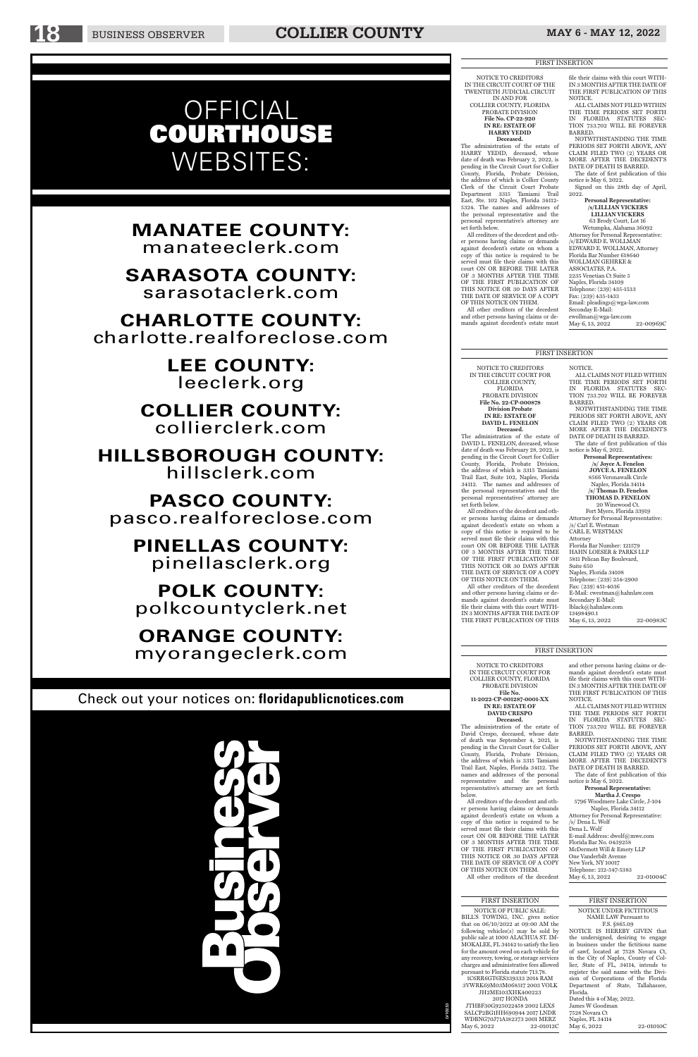NOTICE TO CREDITORS IN THE CIRCUIT COURT FOR COLLIER COUNTY, FLORIDA PROBATE DIVISION **File No. 22-CP-000878 Division Probate IN RE: ESTATE OF DAVID L. FENELON**

**Deceased.** The administration of the estate of DAVID L. FENELON, deceased, whose date of death was February 28, 2022, is pending in the Circuit Court for Collier County, Florida, Probate Division, the address of which is 3315 Tamiami Trail East, Suite 102, Naples, Florida 34112. The names and addresses of the personal representatives and the personal representatives' attorney are set forth below.

All creditors of the decedent and other persons having claims or demands against decedent's estate on whom a copy of this notice is required to be served must file their claims with this court ON OR BEFORE THE LATER OF 3 MONTHS AFTER THE TIME OF THE FIRST PUBLICATION OF THIS NOTICE OR 30 DAYS AFTER THE DATE OF SERVICE OF A COPY OF THIS NOTICE ON THEM.

Telephone: (239) 254-2900 Fax: (239) 451-4036 E-Mail: cwestman@hahnlaw.com Secondary E-Mail: lblack@hahnlaw.com 13498490.1 May 6, 13, 2022 22-00983C

All other creditors of the decedent and other persons having claims or demands against decedent's estate must file their claims with this court WITH-IN 3 MONTHS AFTER THE DATE OF THE FIRST PUBLICATION OF THIS NOTICE.

ALL CLAIMS NOT FILED WITHIN

THE TIME PERIODS SET FORTH IN FLORIDA STATUTES SEC-TION 733.702 WILL BE FOREVER BARRED. NOTWITHSTANDING THE TIME PERIODS SET FORTH ABOVE, ANY CLAIM FILED TWO (2) YEARS OR

MORE AFTER THE DECEDENT'S DATE OF DEATH IS BARRED. The date of first publication of this

notice is May 6, 2022. **Personal Representatives: /s/ Joyce A. Fenelon JOYCE A. FENELON** 8566 Veronawalk Circle

Naples, Florida 34114 **/s/ Thomas D. Fenelon THOMAS D. FENELON**

20 Winewood Ct. Fort Myers, Florida 33919

Attorney for Personal Representative: /s/ Carl E. Westman CARL E. WESTMAN Attorney Florida Bar Number: 121579 HAHN LOESER & PARKS LLP 5811 Pelican Bay Boulevard,

New York, NY 10017 Telephone: 212-547-5383 May 6, 13, 2022 22-01004C

Suite 650 Naples, Florida 34108

NOTICE TO CREDITORS IN THE CIRCUIT COURT FOR COLLIER COUNTY, FLORIDA PROBATE DIVISION **File No. 11-2022-CP-001287-0001-XX**

**IN RE: ESTATE OF DAVID CRESPO Deceased.**

**Deceased.**<br>The administration of the estate of HARRY YEDID, deceased, whose date of death was February 2, 2022, is pending in the Circuit Court for Collier County, Florida, Probate Division, the address of which is Collier County Clerk of the Circuit Court Probate Department 3315 Tamiami Trail East, Ste. 102 Naples, Florida 34112- 5324. The names and addresses of the personal representative and the personal representative's attorney are set forth below.

The administration of the estate of David Crespo, deceased, whose date of death was September 4, 2021, is pending in the Circuit Court for Collier County, Florida, Probate Division, the address of which is 3315 Tamiami

Trail East, Naples, Florida 34112. The names and addresses of the personal<br>representative and the personal representative and representative's attorney are set forth below.

NOTWITHSTANDING THE TIME PERIODS SET FORTH ABOVE, ANY CLAIM FILED TWO (2) YEARS OR MORE AFTER THE DECEDENT'S DATE OF DEATH IS BARRED.

**/s/LILLIAN VICKERS LILLIAN VICKERS** 63 Brody Court, Lot 16 Wetumpka, Alabama 36092 Attorney for Personal Representative: /s/EDWARD E. WOLLMAN EDWARD E. WOLLMAN, Attorney Florida Bar Number 618640 WOLLMAN GEHRKE & ASSOCIATES, P.A. 2235 Venetian Ct Suite 5 Naples, Florida 34109 Telephone: (239) 435-1533 Fax: (239) 435-1433 Email: pleadings@wga-law.com Seconday E-Mail: ewollman@wga-law.com May 6, 13, 2022 22-00969C

All creditors of the decedent and other persons having claims or demands against decedent's estate on whom a copy of this notice is required to be served must file their claims with this court ON OR BEFORE THE LATER OF 3 MONTHS AFTER THE TIME OF THE FIRST PUBLICATION OF THIS NOTICE OR 30 DAYS AFTER THE DATE OF SERVICE OF A COPY OF THIS NOTICE ON THEM. All other creditors of the decedent

and other persons having claims or demands against decedent's estate must file their claims with this court WITH-IN 3 MONTHS AFTER THE DATE OF THE FIRST PUBLICATION OF THIS NOTICE.

ALL CLAIMS NOT FILED WITHIN THE TIME PERIODS SET FORTH IN FLORIDA STATUTES SEC-TION 733.702 WILL BE FOREVER BARRED.

NOTWITHSTANDING THE TIME PERIODS SET FORTH ABOVE, ANY CLAIM FILED TWO (2) YEARS OR MORE AFTER THE DECEDENT'S

#### DATE OF DEATH IS BARRED.

The date of first publication of this notice is May 6, 2022.

#### **Personal Representative: Martha J. Crespo** 5796 Woodmere Lake Circle, J-104 Naples, Florida 34112 Attorney for Personal Representative: /s/ Dena L. Wolf Dena L. Wolf E-mail Address: dwolf@mwe.com Florida Bar No. 0439258 McDermott Will & Emery LLP One Vanderbilt Avenue

NOTICE TO CREDITORS IN THE CIRCUIT COURT OF THE TWENTIETH JUDICIAL CIRCUIT IN AND FOR

COLLIER COUNTY, FLORIDA PROBATE DIVISION **File No. CP-22-920**

> **IN RE: ESTATE OF HARRY YEDID**

All creditors of the decedent and other persons having claims or demands against decedent's estate on whom a copy of this notice is required to be served must file their claims with this court ON OR BEFORE THE LATER OF 3 MONTHS AFTER THE TIME OF THE FIRST PUBLICATION OF THIS NOTICE OR 30 DAYS AFTER THE DATE OF SERVICE OF A COPY OF THIS NOTICE ON THEM.

All other creditors of the decedent and other persons having claims or demands against decedent's estate must

file their claims with this court WITH-IN 3 MONTHS AFTER THE DATE OF THE FIRST PUBLICATION OF THIS NOTICE.

ALL CLAIMS NOT FILED WITHIN THE TIME PERIODS SET FORTH IN FLORIDA STATUTES SEC-TION 733.702 WILL BE FOREVER BARRED.

The date of first publication of this notice is May 6, 2022.

Signed on this 28th day of April, 2022. **Personal Representative:**

#### FIRST INSERTION

#### NOTICE UNDER FICTITIOUS NAME LAW Pursuant to

F.S. §865.09 NOTICE IS HEREBY GIVEN that the undersigned, desiring to engage in business under the fictitious name of sawf, located at 7528 Novara Ct, in the City of Naples, County of Collier, State of FL, 34114, intends to register the said name with the Division of Corporations of the Florida Department of State, Tallahassee, Florida. Dated this 4 of May, 2022. James W Goodman 7528 Novara Ct Naples, FL 34114

May 6, 2022 22-01010C

#### FIRST INSERTION

NOTICE OF PUBLIC SALE: BILL'S TOWING, INC. gives notice that on 06/10/2022 at 09:00 AM the following vehicles(s) may be sold by public sale at 1000 ALACHUA ST. IM-MOKALEE, FL 34142 to satisfy the lien for the amount owed on each vehicle for any recovery, towing, or storage services charges and administrative fees allowed pursuant to Florida statute 713.78. 1C6RR6GT6ES339333 2014 RAM 3VWRK69M03M068517 2003 VOLK JH2ME103XHK400223 2017 HONDA JTHBF30G925022458 2002 LEXS SALCP2BG1HH690944 2017 LNDR WDBNG70J71A182373 2001 MERZ

May 6, 2022 22-01012C

# OFFICIAL COURTHOUSE WEBSITES:

# **MANATEE COUNTY:**  manateeclerk.com

**SARASOTA COUNTY:**  sarasotaclerk.com

**CHARLOTTE COUNTY:** charlotte.realforeclose.com

> **LEE COUNTY:** leeclerk.org

**COLLIER COUNTY:** collierclerk.com

**HILLSBOROUGH COUNTY:**  hillsclerk.com

**PASCO COUNTY:**  pasco.realforeclose.com

**PINELLAS COUNTY:** pinellasclerk.org

**POLK COUNTY:** polkcountyclerk.net

**ORANGE COUNTY:** myorangeclerk.com

# Check out your notices on: **floridapublicnotices.com**



LV10253

#### FIRST INSERTION

## FIRST INSERTION

#### FIRST INSERTION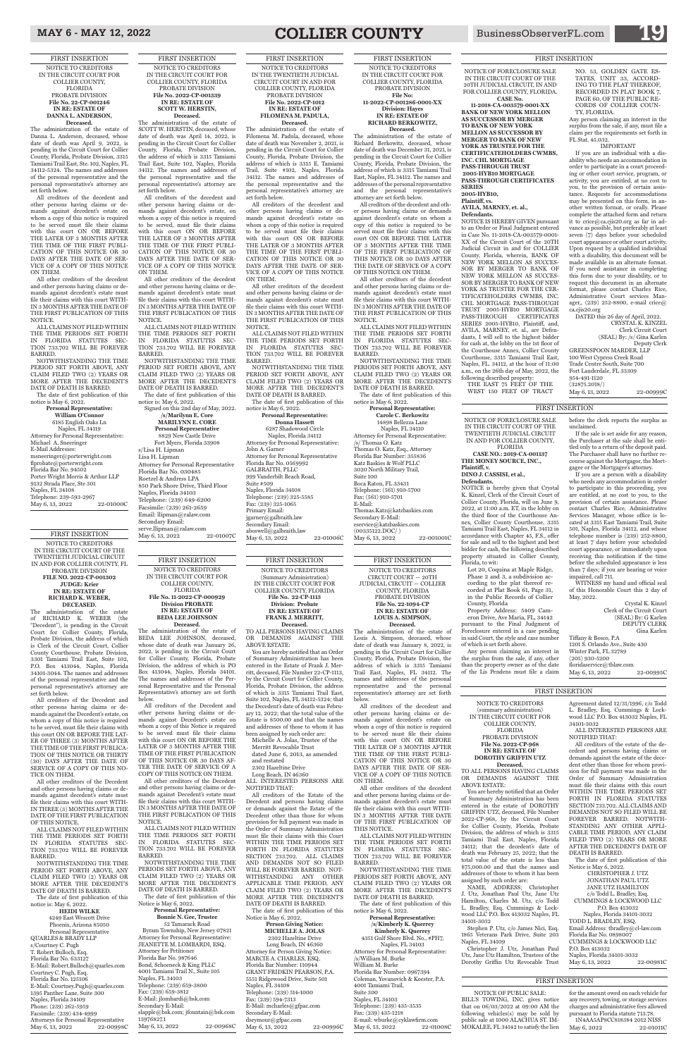NOTICE OF FORECLOSURE SALE IN THE CIRCUIT COURT OF THE TWENTIETH JUDICIAL CIRCUIT IN AND FOR COLLIER COUNTY

FLORIDA **CASE NO.: 2019-CA-001137 THE MONEY SOURCE, INC., Plaintiff, v.**

**DINO J. CASSISI, et al.,**

**Defendants.**

NOTICE is hereby given that Crystal K. Kinzel, Clerk of the Circuit Court of Collier County, Florida, will on June 9, 2022, at 11:00 a.m. ET, in the lobby on the third floor of the Courthouse Annex, Collier County Courthouse, 3315 Tamiami Trail East, Naples, FL 34112 in accordance with Chapter 45, F.S., offer for sale and sell to the highest and best bidder for cash, the following described property situated in Collier County, Florida, to wit:

If the sale is set aside for any reason, the Purchaser at the sale shall be entitled only to a return of the deposit paid. The Purchaser shall have no further recourse against the Mortgagor, the Mortgagee or the Mortgagee's attorney.

Lot 20, Coquina at Maple Ridge, Phase 2 and 3, a subdivision according to the plat thereof recorded at Plat Book 61, Page 31, in the Public Records of Collier County, Florida

Property Address: 5409 Cameron Drive, Ave Maria, FL, 34142 pursuant to the Final Judgment of Foreclosure entered in a case pending in said Court, the style and case number of which is set forth above.

Tiffany & Bosco, P.A 1201 S. Orlando Ave., Suite 430 Winter Park, FL 32789 (205) 930-5200 floridaservice@tblaw.com May 6, 13, 2022 22-00995C

Any person claiming an interest in the surplus from the sale, if any, other than the property owner as of the date of the Lis Pendens must file a claim before the clerk reports the surplus as unclaimed.

NOTICE IS HEREBY GIVEN pursuant to an Order or Final Judgment entered in Case No. 11-2018-CA-003579-0001- XX of the Circuit Court of the 20TH Judicial Circuit in and for COLLIER County, Florida, wherein, BANK OF NEW YORK MELLON AS SUCCES-SOR BY MERGER TO BANK OF NEW YORK MELLON AS SUCCES-SOR BY MERGER TO BANK OF NEW YORK AS TRUSTEE FOR THE CER-TIFICATEHOLDERS CWMBS, INC. CHL MORTGAGE PASS-THROUGH TRUST 2005-HYB10 MORTGAGE PASS-THROUGH CERTIFICATES SERIES 2005-HYB10, Plaintiff, and, AVILA, MARNEY, et. al., are Defendants, I will sell to the highest bidder for cash at, the lobby on the 1st floor of the Courthouse Annex, Collier County Courthouse, 3315 Tamiami Trail East, Naples, FL. 34112, at the hour of 11:00 a.m., on the 26th day of May, 2022, the following described property: THE EAST 75 FEET OF THE

> If you are a person with a disability who needs any accommodation in order to participate in this proceeding, you are entitled, at no cost to you, to the provision of certain assistance. Please contact Charles Rice, Administrative Services Manager, whose office is located at 3315 East Tamiami Trail, Suite 501, Naples, Florida 34112, and whose telephone number is (239) 252-8800, at least 7 days before your scheduled court appearance, or immediately upon receiving this notification if the time before the scheduled appearance is less than 7 days; if you are hearing or voice impaired, call 711.

> WITNESS my hand and official seal of this Honorable Court this 2 day of May, 2022.

Crystal K. Kinzel Clerk of the Circuit Court (SEAL) By: G Karlen DEPUTY CLERK Gina Karlen

NOTICE OF FORECLOSURE SALE IN THE CIRCUIT COURT OF THE 20TH JUDICIAL CIRCUIT, IN AND FOR COLLIER COUNTY, FLORIDA. **CASE No.** 

> (32875.2018/) May 6, 13, 2022 22-00999C

**11-2018-CA-003579-0001-XX BANK OF NEW YORK MELLON AS SUCCESSOR BY MERGER TO BANK OF NEW YORK MELLON AS SUCCESSOR BY MERGER TO BANK OF NEW YORK AS TRUSTEE FOR THE CERTIFICATEHOLDERS CWMBS, INC. CHL MORTGAGE PASS-THROUGH TRUST 2005-HYB10 MORTGAGE PASS-THROUGH CERTIFICATES SERIES 2005-HYB10,** 

**Plaintiff, vs.**

**AVILA, MARNEY, et. al., Defendants.**

> CHRISTOPHER J. UTZ JONATHAN PAUL UTZ JANE UTZ HAMILTON c/o Todd L. Bradley, Esq. CUMMINGS & LOCKWOOD LLC P.O. Box 413032 Naples, Florida 34101-3032 TODD L. BRADLEY, ESQ. Email Address: tbradley@cl-law.com Florida Bar No. 0898007 CUMMINGS & LOCKWOOD LLC P.O. Box 413032 Naples, Florida 34101-3032 May 6, 13, 2022 22-00981C

WEST 150 FEET OF TRACT

NO. 53, GOLDEN GATE ES-TATES, UNIT 33, ACCORD-ING TO THE PLAT THEREOF, RECORDED IN PLAT BOOK 7, PAGE 60, OF THE PUBLIC RE-CORDS OF COLLIER COUN-

**Deceased.**<br>The administration of the estate of BEDA LEE JOHNSON, deceased, whose date of death was January 26, 2022, is pending in the Circuit Court for Collier County, Florida, Probate Division, the address of which is PO Box 413044, Naples, Florida 34101. The names and addresses of the Personal Representative and the Personal

TY, FLORIDA. Any person claiming an interest in the surplus from the sale, if any, must file a claim per the requirements set forth in FL Stat. 45.032.

52 Tamarack Road Byram Township, New Jersey 07821 Attorney for Personal Representative: JEANETTE M. LOMBARDI, ESQ. Attorney for Petitioner Florida Bar No. 987646 Bond, Schoeneck & King PLLC 4001 Tamiami Trail N., Suite 105 Naples, FL 34103 Telephone: (239) 659-3800 Fax: (239) 659-3812 E-Mail: jlombardi@bsk.com Secondary E-Mail: slapple@bsk.com; jfountain@bsk.com 13976827.1 May 6, 13, 2022 22-00968C

IMPORTANT If you are an individual with a disability who needs an accommodation in order to participate in a court proceeding or other court service, program, or activity, you are entitled, at no cost to you, to the provision of certain assistance. Requests for accommodations may be presented on this form, in another written format, or orally. Please complete the attached form and return it to crice@ca.cjis20.org as far in advance as possible, but preferably at least seven (7) days before your scheduled court appearance or other court activity. Upon request by a qualified individual with a disability, this document will be made available in an alternate format. If you need assistance in completing this form due to your disability, or to request this document in an alternate format, please contact Charles Rice, Administrative Court services Manager,, (239) 252-8800, e-mail crice@ ca.cjis20.org

DATED this 26 day of April, 2022. CRYSTAL K. KINZEL Clerk Circuit Court (SEAL) By: /s/ Gina Karlen Deputy Clerk GREENSPOON MARDER, LLP 100 West Cypress Creek Road Trade Centre South, Suite 700 Fort Lauderdale, FL 33309 954-491-1120

NOTICE TO CREDITORS (summary administration) IN THE CIRCUIT COURT FOR COLLIER COUNTY,

FLORIDA PROBATE DIVISION **File No. 2022-CP-968 IN RE: ESTATE OF DOROTHY GRIFFIN UTZ**

TO ALL PERSONS HAVING CLAIMS OR DEMANDS AGAINST THE ABOVE ESTATE:

You are hereby notified that an Order of Summary Administration has been entered in the estate of DOROTHY GRIFFIN UTZ, deceased, File Number 2022-CP-968, by the Circuit Court for Collier County, Florida, Probate Division, the address of which is 3315 Tamiami Trail East, Naples, Florida 34112; that the decedent's date of death was February 25, 2022; that the total value of the estate is less than \$75,000.00 and that the names and addresses of those to whom it has been assigned by such order are:

NAME, ADDRESS; Christopher J. Utz, Jonathan Paul Utz, Jane Utz Hamilton, Charles M. Utz, c/o Todd L. Bradley, Esq. Cummings & Lockwood LLC P.O. Box 413032 Naples, FL 34101-3032

Stephen P. Utz, c/o James Nici, Esq. 1865 Veterans Park Drive, Suite 203 Naples, FL 34109

Christopher J. Utz, Jonathan Paul Utz, Jane Utz Hamilton, Trustees of the Dorothy Griffin Utz Revocable Trust

4249 East Wescott Drive Phoenix, Arizona 85050 Personal Representative QUARLES & BRADY LLP s/Courtney C. Pugh T. Robert Bulloch, Esq. Florida Bar No. 633127 E-Mail: Robert.Bulloch@quarles.com Courtney C. Pugh, Esq. Florida Bar No. 125106 E-Mail: Courtney.Pugh@quarles.com 1395 Panther Lane, Suite 300 Naples, Florida 34109 Phone: (239) 262-5959 Facsimile: (239) 434-4999 Attorneys for Personal Representative May 6, 13, 2022 22-00998C

Agreement dated 12/31/1996, c/o Todd L. Bradley, Esq. Cummings & Lockwood LLC P.O. Box 413032 Naples, FL 34101-3032

ALL INTERESTED PERSONS ARE NOTIFIED THAT:

All creditors of the estate of the decedent and persons having claims or demands against the estate of the decedent other than those for wh sion for full payment was made in the Order of Summary Administration must file their claims with this court WITHIN THE TIME PERIODS SET FORTH IN FLORIDA STATUTES SECTION 733.702. ALL CLAIMS AND DEMANDS NOT SO FILED WILL BE FOREVER BARRED. NOTWITH-STANDING ANY OTHER APPLI-CABLE TIME PERIOD, ANY CLAIM FILED TWO (2) YEARS OR MORE AFTER THE DECEDENT'S DATE OF DEATH IS BARRED.

The date of first publication of this Notice is May 6, 2022.

6185 English Oaks Ln Naples, FL 34119 Attorney for Personal Representative: Michael A. Sneeringer E-Mail Addresses: msneeringer@porterwright.com flprobate@porterwright.com Florida Bar No. 94502 Porter Wright Morris & Arthur LLP 9132 Strada Place, Ste 301 Naples, FL 34108 Telephone: 239-593-2967 May 6, 13, 2022 22-01000C

> FIRST INSERTION NOTICE TO CREDITORS IN THE CIRCUIT COURT FOR COLLIER COUNTY, FLORIDA **File No. 11-2022-CP-000929 Division PROBATE IN RE: ESTATE OF BEDA LEE JOHNSON**

Representative's attorney are set forth

below. All creditors of the Decedent and other persons having claims or demands against Decedent's estate on whom a copy of this Notice is required to be served must file their claims with this court ON OR BEFORE THE LATER OF 3 MONTHS AFTER THE TIME OF THE FIRST PUBLICATION OF THIS NOTICE OR 30 DAYS AF-

# MAY 6 - MAY 12, 2022 **COLLIER COUNTY** BusinessObserverFL.com

**Carole C. Berkowitz** 14898 Bellezza Lane Naples, FL 34110 Attorney for Personal Representative: /s/ Thomas O. Katz Thomas O. Katz, Esq., Attorney Florida Bar Number: 355836 Katz Baskies & Wolf PLLC 3020 North Military Trail, Suite 100 Boca Raton, FL 33431 Telephone: (561) 910-5700 Fax: (561) 910-5701 E-Mail: Thomas.Katz@katzbaskies.com Secondary E-Mail: eservice@katzbaskies.com (00335122.DOC/ ) May 6, 13, 2022 22-001001C

#### TER THE DATE OF SERVICE OF A COPY OF THIS NOTICE ON THEM.

All other creditors of the Decedent and other persons having claims or demands against Decedent's estate must file their claims with this court WITH-IN 3 MONTHS AFTER THE DATE OF THE FIRST PUBLICATION OF THIS NOTICE.

ALL CLAIMS NOT FILED WITHIN THE TIME PERIODS SET FORTH IN FLORIDA STATUTES SEC-TION 733.702 WILL BE FOREVER BARRED.

NOTWITHSTANDING THE TIME PERIODS SET FORTH ABOVE, ANY CLAIM FILED TWO (2) YEARS OR MORE AFTER THE DECEDENT'S DATE OF DEATH IS BARRED. The date of first publication of this Notice is May 6, 2022.

#### **Personal Representative: Bonnie N. Gee, Trustee**

**Personal Representative: Donna Hassett** 6287 Shadowood Circle Naples, Florida 34112 Attorney for Personal Representative: John A. Garner Attorney for Personal Representative Florida Bar No. 0569992 GALBRAITH, PLLC 999 Vanderbilt Beach Road, Suite #509 Naples, Florida 34108 Telephone: (239) 325-5585 Fax: (239) 325-1065 Primary Email: jgarner@galbraith.law Secondary Email: aboswell@galbraith.law May 6, 13, 2022 22-01006C

FIRST INSERTION NOTICE TO CREDITORS (Summary Administration) IN THE CIRCUIT COURT FOR COLLIER COUNTY, FLORIDA **File No. 22-CP-1113 Division: Probate IN RE: ESTATE OF FRANK J. MERRITT,** 

**Deceased.** TO ALL PERSONS HAVING CLAIMS OR DEMANDS AGAINST THE ABOVE ESTATE:

You are hereby notified that an Order of Summary Administration has been entered in the Estate of Frank J. Merritt, deceased, File Number 22-CP-1113, by the Circuit Court for Collier County, Florida, Probate Division, the address of which is 3315 Tamiami Trail East, Suite 102, Naples, FL 34112-5324; that the Decedent's date of death was February 12, 2022; that the total value of the Estate is \$500.00 and that the names and addresses of those to whom it has been assigned by such order are:

Michelle A. Jolas, Trustee of the Merritt Revocable Trust dated June 6, 2013, as amended

and restated

**/s/Marilynn E. Core MARILYNN E. CORE Personal Representative** 8829 New Castle Drive Fort Myers, Florida 33908 s/Lisa H. Lipman Lisa H. Lipman Attorney for Personal Representative Florida Bar No. 030485 Roetzel & Andress LPA 850 Park Shore Drive, Third Floor Naples, Florida 34103 Telephone: (239) 649-6200 Facsimile: (239) 261-2659 Email: llipman@ralaw.com Secondary Email: serve.llipman@ralaw.com May 6, 13, 2022 22-01007C

> 2302 Hazeltine Drive Long Beach, IN 46360

ALL INTERESTED PERSONS ARE NOTIFIED THAT:

All creditors of the Estate of the Decedent and persons having claims or demands against the Estate of the Decedent other than those for whom provision for full payment was made in the Order of Summary Administration must file their claims with this Court WITHIN THE TIME PERIODS SET FORTH IN FLORIDA STATUTES SECTION 733.702. ALL CLAIMS AND DEMANDS NOT SO FILED WILL BE FOREVER BARRED. NOT-WITHSTANDING ANY OTHER APPLICABLE TIME PERIOD, ANY CLAIM FILED TWO (2) YEARS OR MORE AFTER THE DECEDENT'S DATE OF DEATH IS BARRED.

The date of first publication of this Notice is May 6, 2022.

#### **Person Giving Notice: MICHELLE A. JOLAS** 2302 Hazeltine Drive Long Beach, IN 46360 Attorney for Person Giving Notice: MARCIE A. CHARLES, ESQ. Florida Bar Number: 110944 GRANT FRIDKIN PEARSON, P.A. 5551 Ridgewood Drive, Suite 501 Naples, FL 34108 Telephone: (239) 514-1000 Fax: (239) 594-7313 E-Mail: mcharles@gfpac.com Secondary E-Mail: dseymour@gfpac.com

May 6, 13, 2022 22-00996C

**Personal Representative: /s/Kimberly K. Querrey Kimberly K. Querrey** 4351 Gulf Shore Blvd. No., #PH7, Naples, FL 34103 Attorney for Personal Representative: /s/William M. Burke William M. Burke Florida Bar Number: 0967394 Coleman, Yovanovich & Koester, P.A. 4001 Tamiami Trail, Suite 300 Naples, FL 34103 Telephone: (239) 435-3535 Fax: (239) 435-1218 E-mail: wburke@cyklawfirm.com<br>May 6, 13, 2022 22-01008C May 6, 13, 2022

**Decease** 

FIRST INSERTION

NOTICE TO CREDITORS IN THE CIRCUIT COURT OF THE TWENTIETH JUDICIAL CIRCUIT IN AND FOR COLLIER COUNTY, FL PROBATE DIVISION **FILE NO. 2022-CP-001302 JUDGE: Krier IN RE: ESTATE OF RICHARD K. WEBER, DECEASED.**

> for the amount owed on each vehicle for any recovery, towing, or storage services charges and administrative fees allowed pursuant to Florida statute 713.78. 1N4AA5AP8CC818384 2012 NISS May 6, 2022 22-01011C

The administration of the estate of RICHARD K. WEBER (the "Decedent"), is pending in the Circuit Court for Collier County, Florida, Probate Division, the address of which is Clerk of the Circuit Court, Collier County Courthouse, Probate Division, 3301 Tamiami Trail East, Suite 102, P.O. Box 413044, Naples, Florida 34101-3044. The names and addresses of the personal representative and the personal representative's attorney are set forth below.

All creditors of the Decedent and other persons having claims or demands against the Decedent's estate, on whom a copy of this notice is required to be served, must file their claims with this court ON OR BEFORE THE LAT-ER OF THREE (3) MONTHS AFTER THE TIME OF THE FIRST PUBLICA-TION OF THIS NOTICE OR THIRTY (30) DAYS AFTER THE DATE OF

SERVICE OF A COPY OF THIS NO-TICE ON THEM.

All other creditors of the Decedent and other persons having claims or demands against decedent's estate must file their claims with this court WITH-IN THREE (3) MONTHS AFTER THE DATE OF THE FIRST PUBLICATION OF THIS NOTICE.

ALL CLAIMS NOT FILED WITHIN THE TIME PERIODS SET FORTH IN FLORIDA STATUTES SEC-TION 733.702 WILL BE FOREVER BARRED.

NOTWITHSTANDING THE TIME PERIOD SET FORTH ABOVE, ANY CLAIM FILED TWO (2) YEARS OR MORE AFTER THE DECEDENT'S DATE OF DEATH IS BARRED.

The date of first publication of this notice is: May 6, 2022.

## **HEIDI WILKE**

FIRST INSERTION NOTICE TO CREDITORS IN THE CIRCUIT COURT FOR COLLIER COUNTY, FLORIDA PROBATE DIVISION **File No. 22-CP-001246 IN RE: ESTATE OF DANNA L. ANDERSON, Deceased.**

The administration of the estate of Danna L. Anderson, deceased, whose date of death was April 9, 2022, is pending in the Circuit Court for Collier County, Florida, Probate Division, 3315 Tamiami Trail East, Ste. 102, Naples, FL 34112-5324. The names and addresses of the personal representative and the personal representative's attorney are set forth below.

All creditors of the decedent and other persons having claims or demands against decedent's estate on whom a copy of this notice is required to be served must file their claims with this court ON OR BEFORE THE LATER OF 3 MONTHS AFTER THE TIME OF THE FIRST PUBLI-CATION OF THIS NOTICE OR 30 DAYS AFTER THE DATE OF SER-VICE OF A COPY OF THIS NOTICE ON THEM.

All other creditors of the decedent and other persons having claims or demands against decedent's estate must file their claims with this court WITH-IN 3 MONTHS AFTER THE DATE OF THE FIRST PUBLICATION OF THIS NOTICE.

ALL CLAIMS NOT FILED WITHIN THE TIME PERIODS SET FORTH IN FLORIDA STATUTES SEC-TION 733.702 WILL BE FOREVER BARRED.

NOTWITHSTANDING THE TIME PERIOD SET FORTH ABOVE, ANY CLAIM FILED TWO (2) YEARS OR MORE AFTER THE DECEDENT'S DATE OF DEATH IS BARRED.

The date of first publication of this notice is May 6, 2022.

> **Personal Representative: William O'Connor**

FIRST INSERTION NOTICE TO CREDITORS IN THE CIRCUIT COURT FOR COLLIER COUNTY, FLORIDA PROBATE DIVISION

#### **File No: 11-2022-CP-001286-0001-XX Division: Hayes IN RE: ESTATE OF RICHARD BERKOWITZ, Deceased.**

The administration of the estate of Richard Berkowitz, deceased, whose date of death was December 31, 2021, is pending in the Circuit Court for Collier County, Florida, Probate Division, the address of which is 3315 Tamiami Trail East, Naples, FL 34112. The names and addresses of the personal representative and the personal representative's attorney are set forth below.

All creditors of the decedent and other persons having claims or demands against decedent's estate on whom a copy of this notice is required to be served must file their claims with this court ON OR BEFORE THE LATER OF 3 MONTHS AFTER THE TIME OF THE FIRST PUBLICATION OF THIS NOTICE OR 30 DAYS AFTER THE DATE OF SERVICE OF A COPY OF THIS NOTICE ON THEM.

All other creditors of the decedent and other persons having claims or demands against decedent's estate must file their claims with this court WITH-IN 3 MONTHS AFTER THE DATE OF THE FIRST PUBLICATION OF THIS NOTICE.

ALL CLAIMS NOT FILED WITHIN THE TIME PERIODS SET FORTH IN FLORIDA STATUTES SEC-TION 733.702 WILL BE FOREVER BARRED.

NOTWITHSTANDING THE TIME PERIODS SET FORTH ABOVE, ANY CLAIM FILED TWO (2) YEARS OR MORE AFTER THE DECEDENT'S DATE OF DEATH IS BARRED. The date of first publication of this

notice is May 6, 2022. **Personal Representative:**

FIRST INSERTION NOTICE TO CREDITORS IN THE TWENTIETH JUDICIAL CIRCUIT COURT IN AND FOR COLLIER COUNTY, FLORIDA PROBATE DIVISION **File No. 2022-CP-1012 IN RE: ESTATE OF FILOMENA M. PADULA, Deceased.** The administration of the estate of

Filomena M. Padula, deceased, whose date of death was November 2, 2021, is pending in the Circuit Court for Collier County, Florida, Probate Division, the address of which is 3315 E. Tamiami Trail, Suite #102, Naples, Florida 34112. The names and addresses of the personal representative and the personal representative's attorney are set forth below.

All creditors of the decedent and other persons having claims or demands against decedent's estate on whom a copy of this notice is required to be served must file their claims with this court ON OR BEFORE THE LATER OF 3 MONTHS AFTER THE TIME OF THE FIRST PUBLI-CATION OF THIS NOTICE OR 30 DAYS AFTER THE DATE OF SER-VICE OF A COPY OF THIS NOTICE ON THEM.

All other creditors of the decedent and other persons having claims or demands against decedent's estate must file their claims with this court WITH-IN 3 MONTHS AFTER THE DATE OF THE FIRST PUBLICATION OF THIS NOTICE.

ALL CLAIMS NOT FILED WITHIN THE TIME PERIODS SET FORTH IN FLORIDA STATUTES SEC-TION 733.702 WILL BE FOREVER BARRED.

NOTWITHSTANDING THE TIME PERIOD SET FORTH ABOVE, ANY CLAIM FILED TWO (2) YEARS OR MORE AFTER THE DECEDENT'S DATE OF DEATH IS BARRED.

The date of first publication of this notice is May 6, 2022.

FIRST INSERTION NOTICE TO CREDITORS IN THE CIRCUIT COURT FOR COLLIER COUNTY, FLORIDA PROBATE DIVISION **File No. 2022-CP-001339 IN RE: ESTATE OF SCOTT W. HERSTIN, Deceased.**

The administration of the estate of SCOTT W. HERSTIN, deceased, whose date of death was April 14, 2022, is pending in the Circuit Court for Collier County, Florida, Probate Division, the address of which is 3315 Tamiami Trail East, Suite 102, Naples, Florida 34112. The names and addresses of the personal representative and the personal representative's attorney are set forth below.

All creditors of the decedent and other persons having claims or demands against decedent's estate, on whom a copy of this notice is required to be served, must file their claims with this court ON OR BEFORE THE LATER OF 3 MONTHS AFTER THE TIME OF THE FIRST PUBLI-CATION OF THIS NOTICE OR 30 DAYS AFTER THE DATE OF SER-VICE OF A COPY OF THIS NOTICE ON THEM.

All other creditors of the decedent and other persons having claims or demands against decedent's estate must file their claims with this court WITH-IN 3 MONTHS AFTER THE DATE OF THE FIRST PUBLICATION OF THIS NOTICE.

ALL CLAIMS NOT FILED WITHIN THE TIME PERIODS SET FORTH IN FLORIDA STATUTES SEC-TION 733.702 WILL BE FOREVER BARRED.

NOTWITHSTANDING THE TIME PERIOD SET FORTH ABOVE, ANY CLAIM FILED TWO (2) YEARS OR MORE AFTER THE DECEDENT'S DATE OF DEATH IS BARRED.

The date of first publication of this notice is: May 6, 2022. Signed on this 2nd day of May, 2022.

> FIRST INSERTION NOTICE TO CREDITORS CIRCUIT COURT — 20TH JUDICIAL CIRCUIT — COLLIER COUNTY, FLORIDA PROBATE DIVISION **File No. 22-1094-CP IN RE: ESTATE OF LOUIS A. SIMPSON, Deceased.**

The administration of the estate of Louis A. Simpson, deceased, whose date of death was January 8, 2022, is pending in the Circuit Court for Collier County, Florida, Probate Division, the address of which is 3315 Tamiami Trail East, Naples, FL 34112. The names and addresses of the personal representative and the personal representative's attorney are set forth below.

All creditors of the decedent and other persons having claims or demands against decedent's estate on whom a copy of this notice is required to be served must file their claims with this court ON OR BEFORE THE LATER OF 3 MONTHS AFTER THE TIME OF THE FIRST PUBLI-CATION OF THIS NOTICE OR 30

DAYS AFTER THE DATE OF SER-VICE OF A COPY OF THIS NOTICE ON THEM.

All other creditors of the decedent and other persons having claims or demands against decedent's estate must file their claims with this court WITH-IN 3 MONTHS AFTER THE DATE OF THE FIRST PUBLICATION OF THIS NOTICE.

ALL CLAIMS NOT FILED WITHIN THE TIME PERIODS SET FORTH IN FLORIDA STATUTES SEC-TION 733.702 WILL BE FOREVER BARRED.

NOTWITHSTANDING THE TIME PERIODS SET FORTH ABOVE, ANY CLAIM FILED TWO (2) YEARS OR MORE AFTER THE DECEDENT'S DATE OF DEATH IS BARRED.

The date of first publication of this notice is May 6, 2022.

> NOTICE OF PUBLIC SALE: BILL'S TOWING, INC. gives notice that on 06/03/2022 at 09:00 AM the following vehicles(s) may be sold by public sale at 1000 ALACHUA ST. IM-MOKALEE, FL 34142 to satisfy the lien

## FIRST INSERTION

FIRST INSERTION

## FIRST INSERTION

#### FIRST INSERTION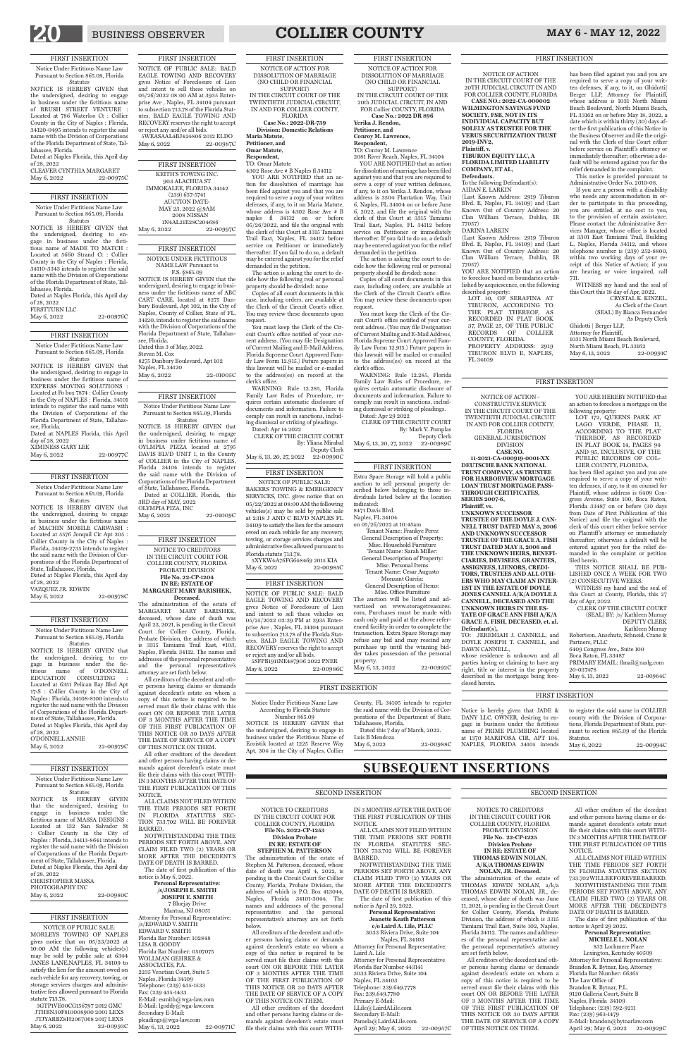## BUSINESS OBSERVER **COLLIER COUNTY** MAY 6 - MAY 12, 2022

 $\overline{\phantom{a}}$ 

**SUBSEQUENT INSERTIONS**

NOTICE TO CREDITORS IN THE CIRCUIT COURT FOR COLLIER COUNTY, FLORIDA **File No. 2022-CP-1253 Division Probate IN RE: ESTATE OF STEPHEN M. PATTERSON**

The administration of the estate of Stephen M. Patterson, deceased, whose date of death was April 4, 2022, is pending in the Circuit Court for Collier County, Florida, Probate Division, the address of which is P.O. Box 413044, Naples, Florida 34101-3044. The names and addresses of the personal representative and the personal representative's attorney are set forth below.

All creditors of the decedent and other persons having claims or demands against decedent's estate on whom a copy of this notice is required to be served must file their claims with this court ON OR BEFORE THE LATER OF 3 MONTHS AFTER THE TIME OF THE FIRST PUBLICATION OF THIS NOTICE OR 30 DAYS AFTER THE DATE OF SERVICE OF A COPY OF THIS NOTICE ON THEM.

> Pamela@LairdALile.com April 29; May 6, 2022 22-00957C

All other creditors of the decedent and other persons having claims or demands against decedent's estate must file their claims with this court WITH-

IN 3 MONTHS AFTER THE DATE OF THE FIRST PUBLICATION OF THIS NOTICE. ALL CLAIMS NOT FILED WITHIN

THE TIME PERIODS SET FORTH IN FLORIDA STATUTES SEC-TION 733.702 WILL BE FOREVER BARRED.

NOTWITHSTANDING THE TIME PERIODS SET FORTH ABOVE, ANY CLAIM FILED TWO (2) YEARS OR MORE AFTER THE DECEDENT'S DATE OF DEATH IS BARRED.

The date of first publication of this notice is April 29, 2022.

**Personal Representative: Jeanette Keath Patterson c/o Laird A. Lile, PLLC**

3033 Riviera Drive, Suite 104 Naples, FL 34103 Attorney for Personal Representative:

Lexington, Kentucky 40509 Attorney for Personal Representative: Brandon R. Bytnar, Esq. Attorney Florida Bar Number: 66365 The Law Office of Brandon R. Bytnar, P.L. 9120 Galleria Court, Suite B Naples, Florida 34109 Telephone: (239) 592-9211 Fax: (239) 963-1479 E-Mail: brandon@bytnarlaw.com April 29; May 6, 2022 22-00929C

Laird A. Lile Attorney for Personal Representative Florida Bar Number 443141 3033 Riviera Drive, Suite 104 Naples, FL 34103 Telephone: 239.649.7778 Fax: 239.649.7780 Primary E-Mail: LLile@LairdALile.com Secondary E-Mail:

SECOND INSERTION

#### NOTICE TO CREDITORS IN THE CIRCUIT COURT FOR COLLIER COUNTY, FLORIDA PROBATE DIVISION **File No. 22-CP-1225 Division Probate IN RE: ESTATE OF THOMAS EDWIN NOLAN, A/K/A THOMAS EDWIN NOLAN, JR. Deceased.**

The administration of the estate of THOMAS EDWIN NOLAN, a/k/a THOMAS EDWIN NOLAN, JR., deceased, whose date of death was June 11, 2021, is pending in the Circuit Court for Collier County, Florida, Probate Division, the address of which is 3315 Tamiami Trail East, Suite 102, Naples, Florida 34112. The names and addresses of the personal representative and the personal representative's attorney are set forth below.

All creditors of the decedent and other persons having claims or demands against decedent's estate on whom a copy of this notice is required to be served must file their claims with this court ON OR BEFORE THE LATER OF 3 MONTHS AFTER THE TIME OF THE FIRST PUBLICATION OF THIS NOTICE OR 30 DAYS AFTER THE DATE OF SERVICE OF A COPY OF THIS NOTICE ON THEM.

All other creditors of the decedent and other persons having claims or demands against decedent's estate must file their claims with this court WITH-IN 3 MONTHS AFTER THE DATE OF THE FIRST PUBLICATION OF THIS NOTICE.

ALL CLAIMS NOT FILED WITHIN THE TIME PERIODS SET FORTH IN FLORIDA STATUTES SECTION 733.702 WILL BE FOREVER BARRED.

NOTWITHSTANDING THE TIME PERIODS SET FORTH ABOVE, ANY CLAIM FILED TWO (2) YEARS OR MORE AFTER THE DECEDENT'S DATE OF DEATH IS BARRED.

(Last Known Address: 2919 Tiburon Blvd. E, Naples, FL 34109) and (Last Known Out of Country Address: 20 Clan William Terrace, Dublin, IR 77057) YOU ARE NOTIFIED that an action

> The date of first publication of this notice is April 29 2022.

#### **Personal Representative: MICHELE L. NOLAN** 832 Lochmere Place

#### SECOND INSERTION

NOTICE OF ACTION - CONSTRUCTIVE SERVICE IN THE CIRCUIT COURT OF THE TWENTIETH JUDICIAL CIRCUIT IN AND FOR COLLIER COUNTY, FLORIDA GENERAL JURISDICTION DIVISION **CASE NO. 11-2021-CA-000919-0001-XX DEUTSCHE BANK NATIONAL TRUST COMPANY, AS TRUSTEE FOR HARBORVIEW MORTGAGE LOAN TRUST MORTGAGE PASS-THROUGH CERTIFICATES, SERIES 2007-6, Plaintiff, vs. UNKNOWN SUCCESSOR TRUSTEE OF THE DOYLE J. CAN-NELL TRUST DATED MAY 3, 2006 AND UNKNOWN SUCCESSOR TRUSTEE OF THE GRACE A. FISH TRUST DATED MAY 3, 2006 and THE UNKNOWN HEIRS, BENEFI-CIARIES, DEVISEES, GRANTEES, ASSIGNEES, LIENORS, CREDI-TORS, TRUSTEES AND ALL OTH-ERS WHO MAY CLAIM AN INTER-EST IN THE ESTATE OF DOYLE** 

1031 North Miami Beach Boulevard, North Miami Beach, FL 33162<br>May 6 13 2022 22-009910

**JONES CANNELL A/K/A DOYLE J. CANNELL, DECEASED AND THE UNKNOWN HEIRS IN THE ES-TATE OF GRACE ANN FISH A/K/A GRACE A. FISH, DECEASED, et. al. Defendant(s),**

TO: JEREMIAH J. CANNELL, and DOYLE JOSEPH T. CANNELL, and DAWN CANNELL, whose residence is unknown and all parties having or claiming to have any right, title or interest in the property described in the mortgage being foreclosed herein.

YOU ARE HEREBY NOTIFIED that an action to foreclose a mortgage on the

following property:

LOT 172, QUEENS PARK AT LAGO VERDE, PHASE II, ACCORDING TO THE PLAT THEREOF, AS RECORDED IN PLAT BOOK 14, PAGES 94 AND 95, INCLUSIVE, OF THE PUBLIC RECORDS OF COL-LIER COUNTY, FLORIDA. has been filed against you and you are required to serve a copy of your written defenses, if any, to it on counsel for Plaintiff, whose address is 6409 Congress Avenue, Suite 100, Boca Raton, Florida 33487 on or before (30 days from Date of First Publication of this Notice) and file the original with the clerk of this court either before service on Plaintiff's attorney or immediately thereafter; otherwise a default will be entered against you for the relief demanded in the complaint or petition

filed herein.

THIS NOTICE SHALL BE PUB-LISHED ONCE A WEEK FOR TWO (2) CONSECUTIVE WEEKS. WITNESS my hand and the seal of this Court at County, Florida, this 27

day of Apr, 2022.

CLERK OF THE CIRCUIT COURT (SEAL) BY: /s/ Kathleen Murray

DEPUTY CLERK Kathleen Murray

Robertson, Anschutz, Schneid, Crane &

Partners, PLLC

6409 Congress Ave., Suite 100 Boca Raton, FL 33487

PRIMARY EMAIL: flmail@raslg.com

May 6, 13, 2022 22-00964C

20-037478

**SOCIETY, FSB, NOT IN ITS INDIVIDUAL CAPACITY BUT SOLELY AS TRUSTEE FOR THE VERUS SECURITIZATION TRUST 2019-INV2, Plaintiff, v.**

**TIBURON EQUITY LLC, A FLORIDA LIMITED LIABILITY COMPANY, ET AL, Defendants.**

To the following Defendant(s):

AIDAN E. LARKIN

(Last Known Address: 2919 Tiburon Blvd. E, Naples, FL 34109) and (Last Known Out of Country Address: 20 Clan William Terrace, Dublin, IR 77057)

Deputy Clerk May 6, 13, 20, 27, 2022 22-00990C

DARINA LARKIN

NOTICE OF ACTION IN THE CIRCUIT COURT OF THE 20TH JUDICIAL CIRCUIT IN AND FOR COLLIER COUNTY, FLORIDA **CASE NO.: 2022-CA-000002 WILMINGTON SAVINGS FUND**  has been filed against you and you are required to serve a copy of your written defenses, if any, to it, on Ghidotti| Berger LLP, Attorney for Plaintiff, whose address is 1031 North Miami Beach Boulevard, North Miami Beach, FL 33162 on or before May 18, 2022, a

5XYKW4A76FG648469 2015 KIA May 6, 2022 22-00985C

to foreclose based on boundaries established by acquiescence, on the following described property: LOT 10, OF SERAFINA AT

TIBURON, ACCORDING TO THE PLAT THEREOF, AS RECORDED IN PLAT BOOK 37, PAGE 25, OF THE PUBLIC RECORDS OF COLLIER COUNTY, FLORIDA. PROPERTY ADDRESS: 2919 TIBURON BLVD E, NAPLES, FL 34109

Notice Under Fictitious Name Law Pursuant to Section 865.09, Florida **Statutes** 

XIMINESS GARY LEE May 6, 2022 22-00977C

date which is within thirty (30) days after the first publication of this Notice in the Business Observer and file the original with the Clerk of this Court either before service on Plaintiff's attorney or immediately thereafter; otherwise a default will be entered against you for the relief demanded in the complaint. This notice is provided pursuant to Administrative Order No. 2010-08. If you are a person with a disability who needs any accommodation in order to participate in this proceeding, you are entitled, at no cost to you, to the provision of certain assistance. Please contact the Administrative Services Manager, whose office is located at 3301 East Tamiami Trail, Building L, Naples, Florida 34112, and whose telephone number is (239) 252-8800, within two working days of your receipt of this Notice of Action; if you are hearing or voice impaired, call

NOTICE IS HEREBY GIVEN that the undersigned, desiring to engage in business under the fictitious name of MASSA DESIGNS : Located at 132 San Salvador St : Collier County in the City of Naples : Florida, 34113-8641 intends to register the said name with the Division of Corporations of the Florida Department of State, Tallahassee, Florida. Dated at Naples Florida, this April day of 28, 2022 CHRISTOPHER MASSA PHOTOGRAPHY INC May 6, 2022 22-00980C

711.

WITNESS my hand and the seal of this Court this 18 day of Apr, 2022.

> CRYSTAL K. KINZEL. As Clerk of the Court (SEAL) By Bianca Fernandez As Deputy Clerk

Ghidotti | Berger LLP, Attorney for Plaintiff,

May 6, 13, 2022

#### FIRST INSERTION

Extra Space Storage will hold a public auction to sell personal property described below belonging to those individuals listed below at the location indicated: 8471 Davis Blvd. Naples, FL 34104

on 05/26/2022 at 10:45am Tenant Name: Frankye Perez

County, FL 34105 intends to register the said name with the Division of Corporations of the Department of State, Tallahassee, Florida. Dated this 7 day of March, 2022. Luis B Mendoza May 6, 2022 22-00988C

General Description of Property: Misc. Household Furniture Tenant Name: Sarah Miller: General Description of Property:

NOTICE OF PUBLIC SALE: BALD EAGLE TOWING AND RECOVERY gives Notice of Foreclosure of Lien and intent to sell these vehicles on 05/26/2022 08:00 AM at 3935 Enterprise Ave , Naples, FL 34104 pursuant to subsection 713.78 of the Florida Statutes. BALD EAGLE TOWING AND RECOVERY reserves the right to accept or reject any and/or all bids. 5WEASAAL4BJ424806 2012 ELDO May 6, 2022 22-00987C

> Misc. Personal Items Tenant Name: Cesar Augusto Monzant Garcia:

General Description of Items: Misc. Office Furniture

The auction will be listed and advertised on www.storagetreasures. com. Purchases must be made with cash only and paid at the above referenced facility in order to complete the transaction. Extra Space Storage may refuse any bid and may rescind any purchase up until the winning bidder takes possession of the personal property.

May 6, 13, 2022 22-00992C

3GTP1VE00CG156797 2012 GMC JTHBN30F810008900 2001 LEXS JTJYARBZ8H2067068 2017 LEXS<br>Aay 6, 2022 22-00993C May  $6, 2022$ 

NOTICE IS HEREBY GIVEN that the undersigned, desiring to engage in business under the fictitious name of ABC CART CARE, located at 8275 Danbury Boulevard, Apt 102, in the City of Naples, County of Collier, State of FL, 34120, intends to register the said name with the Division of Corporations of the Florida Department of State, Tallahassee, Florida. Dated this 3 of May, 2022. Steven M. Cox 8275 Danbury Boulevard, Apt 102 Naples, FL 34120 May 6, 2022 22-01005C

> Notice is hereby given that JADE & DANY LLC, OWNER, desiring to engage in business under the fictitious name of PRIME PLUMBING located at 1370 MARIPOSA CIR, APT 104, NAPLES, FLORIDA 34105 intends

to register the said name in COLLIER county with the Division of Corporations, Florida Department of State, pursuant to section 865.09 of the Florida

Statutes.

May 6, 2022 22-00994C

FIRST INSERTION NOTICE OF ACTION FOR DISSOLUTION OF MARRIAGE (NO CHILD OR FINANCIAL

SUPPORT) IN THE CIRCUIT COURT OF THE 20th JUDICIAL CIRCUIT, IN AND FOR Collier COUNTY, FLORIDA **Case No.: 2022 DR 896**

3RD day of MAY, 2022 OLYMPIA PIZA, INC May 6, 2022 22-01009C **Yerika J. Rendon, Petitioner, and Conroy M. Lawrence,**

**Respondent,** TO: Conroy M. Lawrence

2081 River Reach, Naples, FL 34104 YOU ARE NOTIFIED that an action for dissolution of marriage has been filed against you and that you are required to serve a copy of your written defenses, if any, to it on Yerika J. Rendon, whose address is 3504 Plantation Way, Unit 6, Naples, FL 34104 on or before June 6, 2022, and file the original with the clerk of this Court at 3315 Tamiami Trail East, Naples, FL 34112 before service on Petitioner or immediately thereafter. If you fail to do so, a default may be entered against you for the relief demanded in the petition.

The action is asking the court to decide how the following real or personal property should be divided: none

#### **/s/JOSEPH E. SMITH JOSEPH E. SMITH** 7 Bluejay Drive Mantua, NJ 08051 Attorney for Personal Representative: /s/EDWARD V. SMITH EDWARD V. SMITH Florida Bar Number: 102848 LISA B. GODDY Florida Bar Number: 0507075 WOLLMAN GEHRKE & ASSOCIATES, P.A. 2235 Venetian Court, Suite 5 Naples, Florida 34109 Telephone: (239) 435-1533 Fax: (239 435-1433 E-Mail: esmith@wga-law.com E-Mail: lgoddy@wga-law.com Secondary E-Mail: pleadings@wga-law.com May 6, 13, 2022 22-00971C

Copies of all court documents in this case, including orders, are available at the Clerk of the Circuit Court's office. You may review these documents upon request.

You must keep the Clerk of the Circuit Court's office notified of your current address. (You may file Designation of Current Mailing and E-Mail Address, Florida Supreme Court Approved Family Law Form 12.915.) Future papers in this lawsuit will be mailed or e-mailed to the address(es) on record at the clerk's office.

WARNING: Rule 12.285, Florida Family Law Rules of Procedure, requires certain automatic disclosure of documents and information. Failure to comply can result in sanctions, including dismissal or striking of pleadings.

Dated: Apr 29 2022 CLERK OF THE CIRCUIT COURT By: Mark V. Pomplas Deputy Clerk

May 6, 13, 20, 27, 2022 22-00989C

FIRST INSERTION NOTICE OF ACTION FOR DISSOLUTION OF MARRIAGE (NO CHILD OR FINANCIAL SUPPORT)

IN THE CIRCUIT COURT OF THE TWENTIETH JUDICIAL CIRCUIT, IN AND FOR COLLIER COUNTY, FLORIDA

**Case No.: 2022-DR-739**

**Division: Domestic Relations Maria Matute, Petitioner, and**

**Omar Matute,**

**Respondent,**

TO: Omar Matute 4302 Rose Ave # B Naples fl 34112

YOU ARE NOTIFIED that an action for dissolution of marriage has been filed against you and that you are required to serve a copy of your written defenses, if any, to it on Maria Matute, whose address is 4302 Rose Ave # B naples fl 34112 on or before  $05/26/2022$ , and file the original with the clerk of this Court at 3315 Tamiami Trail East, Naples, FL 34112 before service on Petitioner or immediately thereafter. If you fail to do so, a default may be entered against you for the relief demanded in the petition.

The action is asking the court to decide how the following real or personal property should be divided: none

Copies of all court documents in this case, including orders, are available at the Clerk of the Circuit Court's office. You may review these documents upon request.

You must keep the Clerk of the Circuit Court's office notified of your current address. (You may file Designation of Current Mailing and E-Mail Address, Florida Supreme Court Approved Family Law Form 12.915.) Future papers in this lawsuit will be mailed or e-mailed to the address(es) on record at the clerk's office.

WARNING: Rule 12.285, Florida Family Law Rules of Procedure, requires certain automatic disclosure of documents and information. Failure to comply can result in sanctions, including dismissal or striking of pleadings.

Dated: Apr 14 2022 CLERK OF THE CIRCUIT COURT By: Yliana Mirabal

#### FIRST INSERTION

NOTICE OF PUBLIC SALE:

BAKERS TOWING & EMERGENCY SERVICES, INC. gives notice that on 05/22/2022 at 08:00 AM the following vehicles(s) may be sold by public sale at 2318 J AND C BLVD NAPLES FL 34109 to satisfy the lien for the amount owed on each vehicle for any recovery, towing, or storage services charges and administrative fees allowed pursuant to Florida statute 713.78.

FIRST INSERTION Notice Under Fictitious Name Law Pursuant to Section 865.09, Florida Statutes

NOTICE IS HEREBY GIVEN that the undersigned, desiring to engage in business under the fictitious name of BRUSH STREET VENTURE : Located at 786 Waterloo Ct : Collier County in the City of Naples : Florida, 34120-0495 intends to register the said name with the Division of Corporations of the Florida Department of State, Tallahassee, Florida.

Dated at Naples Florida, this April day of 28, 2022

| CLEAVER CYNTHIA MARGARET |           |
|--------------------------|-----------|
| May 6, 2022              | 22-00975C |

## FIRST INSERTION

NOTICE IS HEREBY GIVEN that the undersigned, desiring to engage in business under the fictitious name of MADE TO MATCH : Located at 5660 Strand Ct : Collier County in the City of Naples : Florida, 34110-3343 intends to register the said name with the Division of Corporations of the Florida Department of State, Tallahassee, Florida.

Dated at Naples Florida, this April day of 28, 2022

| <b>FIRSTTURN LLC</b> |           |
|----------------------|-----------|
| May 6, 2022          | 22-00976C |

#### FIRST INSERTION

Notice Under Fictitious Name Law Pursuant to Section 865.09, Florida

Statutes NOTICE IS HEREBY GIVEN that the undersigned, desiring to engage in business under the fictitious name of EXPRESS MOVING SOLUTIONS : Located at Po box 7874 : Collier County in the City of NAPLES : Florida, 34101 intends to register the said name with the Division of Corporations of the Florida Department of State, Tallahassee, Florida.

Dated at NAPLES Florida, this April day of 28, 2022

## FIRST INSERTION

Notice Under Fictitious Name Law Pursuant to Section 865.09, Florida

Statutes NOTICE IS HEREBY GIVEN that the undersigned, desiring to engage in business under the fictitious name of MACHIN MOBILE CARWASH : Located at 5576 Jonquil Cir Apt 205 : Collier County in the City of Naples : Florida, 34109-2735 intends to register the said name with the Division of Corporations of the Florida Department of State, Tallahassee, Florida.

Dated at Naples Florida, this April day of 28, 2022 VAZQUEZ JR. EDWIN May 6, 2022 22-00978C

#### FIRST INSERTION

Notice Under Fictitious Name Law Pursuant to Section 865.09, Florida

Statutes NOTICE IS HEREBY GIVEN that the undersigned, desiring to engage in business under the fictitious name of O'DONNELL EDUCATION CONSULTING : Located at 6351 Pelican Bay Blvd Apt 17-S : Collier County in the City of Naples : Florida, 34108-8100 intends to register the said name with the Division of Corporations of the Florida Department of State, Tallahassee, Florida. Dated at Naples Florida, this April day of 28, 2022 O'DONNELL ANNIE

May 6, 2022 22-00979C

#### FIRST INSERTION

Notice Under Fictitious Name Law Pursuant to Section 865.09, Florida Statutes

#### FIRST INSERTION

NOTICE OF PUBLIC SALE: BALD EAGLE TOWING AND RECOVERY gives Notice of Foreclosure of Lien and intent to sell these vehicles on 05/25/2022 02:39 PM at 3935 Enterprise Ave , Naples, FL 34104 pursuant to subsection 713.78 of the Florida Statutes. BALD EAGLE TOWING AND RECOVERY reserves the right to accept or reject any and/or all bids.

5SFPB1911NE487906 2022 PNER<br>May 6, 2022 22-00986 22-00986C

Notice Under Fictitious Name Law According to Florida Statute Number 865.09

NOTICE IS HEREBY GIVEN that the undersigned, desiring to engage in business under the Fictitious Name of Ecoistik located at 1225 Reserve Way Apt. 304 in the City of Naples, Collier

FIRST INSERTION

## FIRST INSERTION

NOTICE OF PUBLIC SALE: MORLEYS TOWING OF NAPLES gives notice that on 05/23/2022 at 10:00 AM the following vehicles(s) may be sold by public sale at 6344 JANES LANE, NAPLES, FL 34109 to satisfy the lien for the amount owed on each vehicle for any recovery, towing, or storage services charges and administrative fees allowed pursuant to Florida statute 713.78.

| <b>FIRST INSERTION</b>     |           |
|----------------------------|-----------|
| <b>KEITH'S TOWING INC.</b> |           |
| 903 ALACHUA ST             |           |
| IMMOKALEE, FLORIDA 34142   |           |
| $(239)$ 657-5741           |           |
| <b>AUCTION DATE-</b>       |           |
| MAY 23, 2022 @9AM          |           |
| 2008 NISSAN                |           |
| 1N4AL21E28C204686          |           |
| May 6, 2022                | 22-00997C |
|                            |           |

## FIRST INSERTION

NOTICE UNDER FICTITIOUS NAME LAW Pursuant to F.S. §865.09

#### FIRST INSERTION

Notice Under Fictitious Name Law Pursuant to Section 865.09, Florida Statutes

NOTICE IS HEREBY GIVEN that the undersigned, desiring to engage in business under fictitious name of OYLMPIA PIZZA located at 2795 DAVIS BLVD UNIT 1, in the County of COLLIER in the City of NAPLES, Florida 34104 intends to register the said name with the Division of Corporations of the Florida Department of State, Tallahassee, Florida. Dated at COLLIER, Florida, this

## FIRST INSERTION

NOTICE TO CREDITORS IN THE CIRCUIT COURT FOR COLLIER COUNTY, FLORIDA PROBATE DIVISION **File No. 22-CP-1204 IN RE: ESTATE OF** 

#### **MARGARET MARY BARISHEK, Deceased.**

The administration of the estate of MARGARET MARY BARISHEK, deceased, whose date of death was April 23, 2021, is pending in the Circuit Court for Collier County, Florida, Probate Division, the address of which is 3315 Tamiami Trail East, #103, Naples, Florida 34112. The names and addresses of the personal representative and the personal representative's attorney are set forth below.

All creditors of the decedent and other persons having claims or demands against decedent's estate on whom a copy of this notice is required to be served must file their claims with this court ON OR BEFORE THE LATER OF 3 MONTHS AFTER THE TIME OF THE FIRST PUBLICATION OF THIS NOTICE OR 30 DAYS AFTER THE DATE OF SERVICE OF A COPY OF THIS NOTICE ON THEM.

All other creditors of the decedent and other persons having claims or de-

mands against decedent's estate must file their claims with this court WITH-IN 3 MONTHS AFTER THE DATE OF THE FIRST PUBLICATION OF THIS NOTICE.

ALL CLAIMS NOT FILED WITHIN THE TIME PERIODS SET FORTH IN FLORIDA STATUTES SEC-TION 733.702 WILL BE FOREVER BARRED.

NOTWITHSTANDING THE TIME PERIODS SET FORTH ABOVE, ANY CLAIM FILED TWO (2) YEARS OR MORE AFTER THE DECEDENT'S DATE OF DEATH IS BARRED. The date of first publication of this notice is May 6, 2022. **Personal Representative:**

## FIRST INSERTION

FIRST INSERTION

FIRST INSERTION

## FIRST INSERTION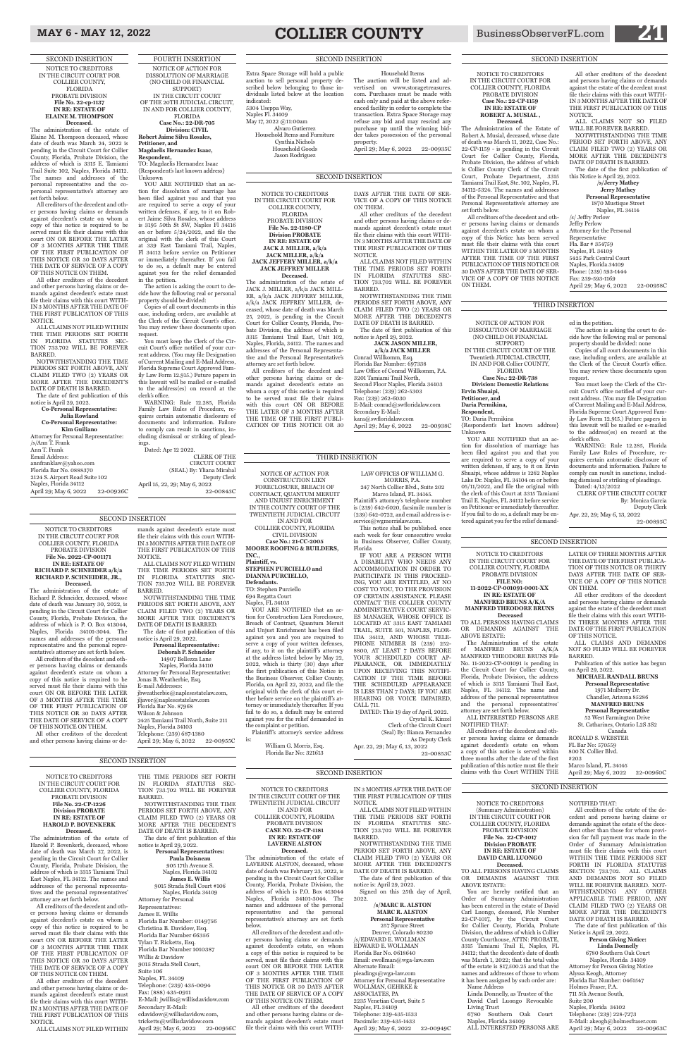FOURTH INSERTION

SUPPORT) IN THE CIRCUIT COURT OF THE 20TH JUDICIAL CIRCUIT, IN AND FOR COLLIER COUNTY, **FLORIDA** 

NOTICE OF ACTION FOR DISSOLUTION OF MARRIAGE (NO CHILD OR FINANCIAL

#### **Case No.: 22-DR-705 Division: CIVIL Robert Jaime Silva Rosales, Petitioner, and**

## **Magdaelis Hernandez Isaac,**

**Respondent,** TO: Magdaelis Hernandez Isaac {Respondent's last known address} Unknown

YOU ARE NOTIFIED that an action for dissolution of marriage has been filed against you and that you are required to serve a copy of your written defenses, if any, to it on Robert Jaime Silva Rosales, whose address is 3195 50th St SW, Naples Fl 34116 on or before  $5/24/2022$ , and file the original with the clerk of this Court at 339 East Tamiami Trail, Naples, Fl 34112 before service on Petitioner or immediately thereafter. If you fail to do so, a default may be entered against you for the relief demanded in the petition.

The action is asking the court to decide how the following real or personal property should be divided:

Copies of all court documents in this case, including orders, are available at the Clerk of the Circuit Court's office. You may review these documents upon request.

> YOU ARE NOTIFIED that an action for dissolution of marriage has been filed against you and that you are required to serve a copy of your written defenses, if any, to it on Ervin Shuaipi, whose address is 1262 Naples Lake Dr. Naples, FL 34104 on or before 05/11/2022, and file the original with the clerk of this Court at 3315 Tamiami Trail E. Naples, FL 34112 before service on Petitioner or immediately thereafter. If you fail to do so, a default may be entered against you for the relief demand-

You must keep the Clerk of the Circuit Court's office notified of your current address. (You may file Designation of Current Mailing and E-Mail Address, Florida Supreme Court Approved Family Law Form 12.915.) Future papers in this lawsuit will be mailed or e-mailed to the address(es) on record at the clerk's office.

WARNING: Rule 12.285, Florida Family Law Rules of Procedure, requires certain automatic disclosure of documents and information. Failure to comply can result in sanctions, including dismissal or striking of pleadings.

You must keep the Clerk of the Circuit Court's office notified of your current address. (You may file Designation of Current Mailing and E-Mail Address, Florida Supreme Court Approved Family Law Form 12.915.) Future papers in this lawsuit will be mailed or e-mailed to the address(es) on record at the

Dated: Apr 12 2022. CLERK OF THE CIRCUIT COURT (SEAL) By: Yliana Mirabal Deputy Clerk April 15, 22, 29; May 6, 2022 22-00843C

NOTICE OF ACTION FOR DISSOLUTION OF MARRIAGE (NO CHILD OR FINANCIAL SUPPORT)

IN THE CIRCUIT COURT OF THE Twentieth JUDICIAL CIRCUIT, IN AND FOR Collier COUNTY,

FLORIDA

- **Case No.: 22-DR-738 Division: Domestic Relations**
- 

**Ervin Shuaipi, Petitioner, and Daria Permikina, Respondent,** TO: Daria Permikina Unknown

# {Respondent's last known address}

NOTWITHSTANDING THE TIME PERIOD SET FORTH ABOVE, ANY CLAIM FILED TWO (2) YEARS OR MORE AFTER THE DECEDENT'S DATE OF DEATH IS BARRED.

257 Spruce Street Denver, Colorado 80230 /s/EDWARD E. WOLLMAN EDWARD E. WOLLMAN Florida Bar No. 0618640 Email: ewollman@wga-law.com Alternate Email: pleadings@wga-law.com Attorney for Personal Representative WOLLMAN, GEHRKE & ASSOCIATES, PA 2235 Venetian Court, Suite 5 Naples, FL 34109 Telephone: 239-435-1533 Facsimile: 239-435-1433 April 29; May 6, 2022 22-00949C ed in the petition.

The action is asking the court to decide how the following real or personal property should be divided: none Copies of all court documents in this case, including orders, are available at the Clerk of the Circuit Court's office. You may review these documents upon

April 29; May 6, 2022 22-00958C

request.

clerk's office.

WARNING: Rule 12.285, Florida Family Law Rules of Procedure, requires certain automatic disclosure of documents and information. Failure to comply can result in sanctions, including dismissal or striking of pleadings.

Dated: 4/13/2022

CLERK OF THE CIRCUIT COURT

By: Monica Garcia Deputy Clerk

Apr. 22, 29; May 6, 13, 2022

22-00895C

THIRD INSERTION

NOTICE TO CREDITORS IN THE CIRCUIT COURT OF THE TWENTIETH JUDICIAL CIRCUIT IN AND FOR COLLIER COUNTY, FLORIDA PROBATE DIVISION **CASE NO. 22-CP-1181 IN RE: ESTATE OF LAVERNE ALSTON Deceased.**

Plaintiff's attorney's service address

**Deceased.**<br>The administration of the estate of Harold P. Bovenkerk, deceased, whose date of death was March 27, 2022, is pending in the Circuit Court for Collier County, Florida, Probate Division, the address of which is 3315 Tamiami Trail East Naples, FL 34112. The names and addresses of the personal representatives and the personal representatives' attorney are set forth below.

The administration of the estate of LAVERNE ALSTON, deceased, whose date of death was February 23, 2022, is pending in the Circuit Court for Collier County, Florida, Probate Division, the address of which is P.O. Box 413044 Naples, Florida 34101-3044. The names and addresses of the personal representative and the personal representative's attorney are set forth below.

THE TIME PERIODS SET FORTH IN FLORIDA STATUTES SEC-TION 733.702 WILL BE FOREVER BARRED.

> All creditors of the decedent and other persons having claims or demands against decedent's estate, on whom a copy of this notice is required to be served, must file their claims with this court ON OR BEFORE THE LATER OF 3 MONTHS AFTER THE TIME OF THE FIRST PUBLICATION OF THIS NOTICE OR 30 DAYS AFTER THE DATE OF SERVICE OF A COPY OF THIS NOTICE ON THEM.

All other creditors of the decedent and other persons having claims or demands against decedent's estate must file their claims with this court WITH-

IN 3 MONTHS AFTER THE DATE OF THE FIRST PUBLICATION OF THIS NOTICE.

ALL CLAIMS NOT FILED WITHIN THE TIME PERIODS SET FORTH IN FLORIDA STATUTES SEC-TION 733.702 WILL BE FOREVER BARRED.

The date of first publication of this notice is: April 29, 2022. Signed on this 25th day of April, 2022.

> **/s/MARC R. ALSTON MARC R. ALSTON Personal Representative**

NOTICE TO CREDITORS IN THE CIRCUIT COURT FOR COLLIER COUNTY, FLORIDA PROBATE DIVISION **File No. 2022-CP-001171 IN RE: ESTATE OF RICHARD P. SCHNEIDER a/k/a RICHARD P. SCHNEIDER, JR.,** 

April 29; May 6, 2022 22-00926C

**Deceased.** The administration of the estate of Richard P. Schneider, deceased, whose date of death was January 30, 2022, is pending in the Circuit Court for Collier

County, Florida, Probate Division, the address of which is P. O. Box 413044, Naples, Florida 34101-3044. The names and addresses of the personal representative and the personal representative's attorney are set forth below. All creditors of the decedent and oth-

er persons having claims or demands against decedent's estate on whom a copy of this notice is required to be served must file their claims with this court ON OR BEFORE THE LATER OF 3 MONTHS AFTER THE TIME OF THE FIRST PUBLICATION OF THIS NOTICE OR 30 DAYS AFTER THE DATE OF SERVICE OF A COPY OF THIS NOTICE ON THEM.

> #203  $nd$  FL  $24145$

All other creditors of the decedent and other persons having claims or de-

# mands against decedent's estate must

file their claims with this court WITH-IN 3 MONTHS AFTER THE DATE OF THE FIRST PUBLICATION OF THIS

NOTICE.

ALL CLAIMS NOT FILED WITHIN

THE TIME PERIODS SET FORTH TION 733.702 WILL BE FOREVER

IN FLORIDA STATUTES SEC-BARRED.

NOTWITHSTANDING THE TIME

PERIODS SET FORTH ABOVE, ANY CLAIM FILED TWO (2) YEARS OR MORE AFTER THE DECEDENT'S

DATE OF DEATH IS BARRED. The date of first publication of this

notice is April 29, 2022.

April 29; May 6, 2022 22-00955C

**Personal Representative: Deborah P. Schneider** 14907 Bellezza Lane Naples, Florida 34110 Attorney for Personal Representative: Jonas B. Weatherbie, Esq. E-mail Addresses: jbweatherbie@naplesestatelaw.com, jljavor@naplesestatelaw.com Florida Bar No. 87968 Wilson & Johnson 2425 Tamiami Trail North, Suite 211 Naples, Florida 34103 Telephone: (239) 687-1380

> 6780 Southern Oak Court Naples, Florida 34109 Attorney for Person Giving Notice Alyssa Keogh, Attorney Florida Bar Number: 0461547 Holmes Fraser, P.A. 711 5th Avenue South, Suite 200 Naples, Florida 34102 Telephone: (239) 228-7273 E-Mail: akeogh@holmesfraser.com April 29; May 6, 2022 22-00963C

#### NOTICE TO CREDITORS IN THE CIRCUIT COURT FOR COLLIER COUNTY, FLORIDA PROBATE DIVISION **File No. 22-CP-1226 Division PROBATE IN RE: ESTATE OF HAROLD P. BOVENKERK**

All creditors of the decedent and other persons having claims or demands against decedent's estate on whom a copy of this notice is required to be served must file their claims with this court ON OR BEFORE THE LATER OF 3 MONTHS AFTER THE TIME OF THE FIRST PUBLICATION OF THIS NOTICE OR 30 DAYS AFTER THE DATE OF SERVICE OF A COPY OF THIS NOTICE ON THEM.

All other creditors of the decedent and other persons having claims or demands against decedent's estate must file their claims with this court WITH-IN 3 MONTHS AFTER THE DATE OF THE FIRST PUBLICATION OF THIS NOTICE.

ALL CLAIMS NOT FILED WITHIN

NOTWITHSTANDING THE TIME PERIODS SET FORTH ABOVE, ANY CLAIM FILED TWO (2) YEARS OR MORE AFTER THE DECEDENT'S DATE OF DEATH IS BARRED. The date of first publication of this

notice is April 29, 2022.

#### **Personal Representatives:**

#### **Paula Doisneau** 905 17th Avenue S. Naples, Florida 34102 **James E. Willis** 9015 Strada Stell Court #106 Naples, Florida 34109 Attorney for Personal Representatives: James E. Willis Florida Bar Number: 0149756 Christina B. Davidow, Esq. Florida Bar Number 66356 Tylan T. Ricketts, Esq. Florida Bar Number 1010387 Willis & Davidow 9015 Strada Stell Court, Suite 106 Naples, FL 34109 Telephone: (239) 435-0094 Fax: (888) 435-0911 E-Mail: jwillis@willisdavidow.com Secondary E-Mail: cdavidow@willisdavidow.com, tricketts@willisdavidow.com

April 29; May 6, 2022 22-00956C

kara@swfloridalaw.com April 29; May 6, 2022 22-00938C

NOTICE TO CREDITORS IN THE CIRCUIT COURT FOR COLLIER COUNTY, FLORIDA PROBATE DIVISION **Case No.: 22-CP-1159 IN RE: ESTATE OF ROBERT A. MUSIAL ,**

YOU ARE NOTIFIED that an action for Construction Lien Foreclosure, Breach of Contract, Quantum Meruit and Unjust Enrichment has been filed against you and you are required to serve a copy of your written defenses, if any, to it on the plaintiff 's attorney at the address listed below by May 22, 2022, which is thirty (30) days after the first publication of this Notice in the Business Observer, Collier County, Florida, on April 22, 2022, and file the original with the clerk of this court either before service on the plaintiff 's attorney or immediately thereafter. If you fail to do so, a default may be entered against you for the relief demanded in

**Deceased.** The Administration of the Estate of Robert A. Musial, deceased, whose date of death was March 11, 2022, Case No.: 22-CP-1159 - is pending in the Circuit Court for Collier County, Florida, Probate Division, the address of which is Collier County Clerk of the Circuit Court, Probate Department, 3315 Tamiami Trail East, Ste. 102, Naples, FL 34112-5324. The names and addresses of the Personal Representative and that Personal Representative's attorney are set forth below.

Marco Island, FL 34145. Plaintiff's attorney's telephone number

All creditors of the decedent and other persons having claims or demands against decedent's estate on whom a copy of this Notice has been served must file their claims with this court WITHIN THE LATER OF 3 MONTHS AFTER THE TIME OF THE FIRST PUBLICATION OF THIS NOTICE OR 30 DAYS AFTER THE DATE OF SER-VICE OF A COPY OF THIS NOTICE ON THEM.

All other creditors of the decedent and persons having claims or demands against the estate of the decedent must file their claims with this court WITH-IN 3 MONTHS AFTER THE DATE OF THE FIRST PUBLICATION OF THIS

NOTICE.

ALL CLAIMS NOT SO FILED WILL BE FOREVER BARRED. NOTWITHSTANDING THE TIME PERIOD SET FORTH ABOVE, ANY CLAIM FILED TWO (2) YEARS OR MORE AFTER THE DECEDENT'S DATE OF DEATH IS BARRED. The date of the first publication of

this Notice is April 29, 2022. **/s/Jerry Mathey Jerry Mathey Personal Representative** 1870 Mustique Street Naples, FL 34114

/s/ Jeffry Perlow Jeffry Perlow Attorney for the Personal Representative Fla. Bar # 354759 Naples, Fl. 34109 5425 Park Central Court Naples, Florida 34109 Phone: (239) 593-1444 Fax: 239-593-1169

#### NOTICE TO CREDITORS IN THE CIRCUIT COURT FOR COLLIER COUNTY, FLORIDA PROBATE DIVISION **FILE NO:**

**11-2022-CP-001091-0001-XX IN RE: ESTATE OF MANFRED BRUNS A/K/A MANFRED THEODORE BRUNS Deceased** TO ALL PERSONS HAVING CLAIMS OR DEMANDS AGAINST THE

ABOVE ESTATE:

The Administration of the estate of MANFRED BRUNS A/K/A MANFRED THEODORE BRUNS File No. 11-2022-CP-001091 is pending in the Circuit Court for Collier County, Florida, Probate Division, the address of which is 3315 Tamiami Trail East, Naples, FL 34112. The name and address of the personal representatives and the personal representatives' attorney are set forth below.

ALL INTERESTED PERSONS ARE

NOTIFIED THAT:

All creditors of the decedent and other persons having claims or demands against decedent's estate on whom a copy of this notice is served within

April 29; May 6, 2022 22-00960C

three months after the date of the first ublication of this notice must file claims with this Court WITHIN THE

LATER OF THREE MONTHS AFTER THE DATE OF THE FIRST PUBLICA-TION OF THIS NOTICE OR THIRTY DAYS AFTER THE DATE OF SER-VICE OF A COPY OF THIS NOTICE ON THEM.

All other creditors of the decedent and persons having claims or demands against the estate of the decedent must file their claims with this court WITH-IN THREE MONTHS AFTER THE DATE OF THE FIRST PUBLICATION OF THIS NOTICE.

ALL CLAIMS AND DEMANDS NOT SO FILED WILL BE FOREVER BARRED.

Publication of this notice has begun on April 29, 2022.

**MICHAEL RANDALL BRUNS Personal Representative**

1971 Mulberry Dr. Chandler, Arizona 85286

## **MANFRED BRUNS**

**Personal Representative** 52 West Farmington Drive

St. Catharines, Ontario L2S 3S2 Canada

RONALD S. WEBSTER FL Bar No: 570559 800 N. Collier Blvd.

SECOND INSERTION

#### SECOND INSERTION

#### SECOND INSERTION

SECOND INSERTION

SECOND INSERTION

NOTICE TO CREDITORS (Summary Administration) IN THE CIRCUIT COURT FOR COLLIER COUNTY, FLORIDA PROBATE DIVISION **File No. 22-CP-1017 Division PROBATE IN RE: ESTATE OF DAVID CARL LUONGO Deceased.** TO ALL PERSONS HAVING CLAIMS OR DEMANDS AGAINST THE

ABOVE ESTATE:

You are hereby notified that an Order of Summary Administration has been entered in the estate of David Carl Luongo, deceased, File Number 22-CP-1017, by the Circuit Court for Collier County, Florida, Probate Division, the address of which is Collier County Courthouse, ATTN: PROBATE, 3315 Tamiami Trail E, Naples, FL 34112; that the decedent's date of death was March 1, 2022; that the total value of the estate is \$17,500.25 and that the names and addresses of those to whom it has been assigned by such order are:

Name Address

Linda Donnelly, as Trustee of the David Carl Luongo Revocable

Living Trust

6780 Southern Oak Court Naples, Florida 34109

ALL INTERESTED PERSONS ARE

#### NOTIFIED THAT:

All creditors of the estate of the decedent and persons having claims or demands against the estate of the decedent other than those for whom provision for full payment was made in the Order of Summary Administration must file their claims with this court WITHIN THE TIME PERIODS SET FORTH IN FLORIDA STATUTES SECTION 733.702. ALL CLAIMS AND DEMANDS NOT SO FILED WILL BE FOREVER BARRED. NOT-WITHSTANDING ANY OTHER APPLICABLE TIME PERIOD, ANY CLAIM FILED TWO (2) YEARS OR MORE AFTER THE DECEDENT'S DATE OF DEATH IS BARRED.

The date of first publication of this Notice is April 29, 2022.

**Person Giving Notice: Linda Donnelly**

#### SECOND INSERTION

SECOND INSERTION NOTICE TO CREDITORS IN THE CIRCUIT COURT FOR COLLIER COUNTY, FLORIDA PROBATE DIVISION **File No. 22-cp-1137 IN RE: ESTATE OF ELAINE M. THOMPSON Deceased.** The administration of the estate of Elaine M. Thompson deceased, whose date of death was March 24, 2022 is pending in the Circuit Court for Collier County, Florida, Probate Division, the address of which is 3315 E. Tamiami Trail Suite 102, Naples, Florida 34112. The names and addresses of the personal representative and the copersonal representative's attorney are

set forth below.

All creditors of the decedent and other persons having claims or demands against decedent's estate on whom a copy of this notice is required to be served must file their claims with this court ON OR BEFORE THE LATER OF 3 MONTHS AFTER THE TIME OF THE FIRST PUBLICATION OF THIS NOTICE OR 30 DAYS AFTER THE DATE OF SERVICE OF A COPY OF THIS NOTICE ON THEM. All other creditors of the decedent and other persons having claims or demands against decedent's estate must file their claims with this court WITH-IN 3 MONTHS AFTER THE DATE OF THE FIRST PUBLICATION OF THIS

NOTICE.

ALL CLAIMS NOT FILED WITHIN THE TIME PERIODS SET FORTH IN FLORIDA STATUTES SEC-TION 733.702 WILL BE FOREVER

BARRED.

NOTWITHSTANDING THE TIME PERIODS SET FORTH ABOVE, ANY CLAIM FILED TWO (2) YEARS OR MORE AFTER THE DECEDENT'S DATE OF DEATH IS BARRED. The date of first publication of this

notice is April 29, 2022.

**Co-Personal Representative: Julia Rowland Co-Personal Representative: Kim Guiliano** Attorney for Personal Representative:

/s/Ann T. Frank Ann T. Frank Email Address: annfranklaw@yahoo.com Florida Bar No. 0888370 2124 S. Airport Road Suite 102 Naples, Florida 34112

# MAY 6 - MAY 12, 2022 **COLLIER COUNTY** BusinessObserverFL.com

NOTICE TO CREDITORS IN THE CIRCUIT COURT FOR COLLIER COUNTY, FLORIDA PROBATE DIVISION **File No. 22-1180-CP Division PROBATE IN RE: ESTATE OF JACK J. MILLER, a/k/a JACK MILLER, a/k/a JACK JEFFERY MILLER, a/k/a JACK JEFFREY MILLER Deceased.** The administration of the estate of JACK J. MILLER, a/k/a JACK MILL-ER, a/k/a JACK JEFFERY MILLER, a/k/a JACK JEFFREY MILLER, deceased, whose date of death was March 25, 2022, is pending in the Circuit Court for Collier County, Florida, Probate Division, the address of which is 3315 Tamiami Trail East, Unit 102, Naples, Florida, 34112. The names and addresses of the Personal Representative and the Personal Representative's attorney are set forth below.

All creditors of the decedent and other persons having claims or demands against decedent's estate on whom a copy of this notice is required to be served must file their claims with this court ON OR BEFORE THE LATER OF 3 MONTHS AFTER THE TIME OF THE FIRST PUBLI-CATION OF THIS NOTICE OR 30

DAYS AFTER THE DATE OF SER-VICE OF A COPY OF THIS NOTICE ON THEM.

All other creditors of the decedent and other persons having claims or demands against decedent's estate must file their claims with this court WITH-IN 3 MONTHS AFTER THE DATE OF THE FIRST PUBLICATION OF THIS NOTICE.

ALL CLAIMS NOT FILED WITHIN THE TIME PERIODS SET FORTH IN FLORIDA STATUTES SEC-TION 733.702 WILL BE FOREVER BARRED.

NOTWITHSTANDING THE TIME PERIODS SET FORTH ABOVE, ANY CLAIM FILED TWO (2) YEARS OR MORE AFTER THE DECEDENT'S DATE OF DEATH IS BARRED. The date of first publication of this

#### notice is April 29, 2022. **JACK JASON MILLER,**

**a/k/a JACK MILLER** Conrad Willkomm, Esq. Florida Bar Number: 697338 Law Office of Conrad Willkomm, P.A. 3201 Tamiami Trail North, Second Floor Naples, Florida 34103 Telephone: (239) 262-5303 Fax: (239) 262-6030 E-Mail: conrad@swfloridalaw.com Secondary E-Mail:

## SECOND INSERTION

IN AND FOR

CIVIL DIVISION **Case No.: 21-CC-2005 MOORE ROOFING & BUILDERS,** 

**INC., Plaintiff, vs.**

**STEPHEN PURCIELLO and DIANNA PURCIELLO, Defendants.** TO: Stephen Purciello 694 Regatta Court Naples, FL 34103

COLLIER COUNTY, FLORIDA is (239) 642-6020, facsimile number is service@wgmorrislaw.com.

the complaint or petition.

is:

William G. Morris, Esq. Florida Bar No: 321613

NOTICE OF ACTION FOR CONSTRUCTION LIEN FORECLOSURE, BREACH OF CONTRACT, QUANTUM MERUIT AND UNJUST ENRICHMENT IN THE COUNTY COURT OF THE TWENTIETH JUDICIAL CIRCUIT THIRD INSERTION

LAW OFFICES OF WILLIAM G. MORRIS, P.A. 247 North Collier Blvd., Suite 202

(239) 642-0722, and email address is e-This notice shall be published. once

Florida

each week for four consecutive weeks in Business Observer, Collier County, IF YOU ARE A PERSON WITH A DISABILITY WHO NEEDS ANY ACCOMMODATION IN ORDER TO PARTICIPATE IN THIS PROCEED-ING, YOU ARE ENTITLED, AT NO COST TO YOU, TO THE PROVISION OF CERTAIN ASSISTANCE. PLEASE CONTACT THE COLLIER COUNTY ADMINISTRATIVE COURT SERVIC-

ES MANAGER, WHOSE OFFICE IS LOCATED AT 3315 EAST TAMIAMI TRAIL, SUITE 501, NAPLES, FLOR-IDA 34112, AND WHOSE TELE-PHONE NUMBER IS (239) 252-8800, AT LEAST 7 DAYS BEFORE YOUR SCHEDULED COURT AP-PEARANCE, OR IMMEDIATELY UPON RECEIVING THIS NOTIFI-CATION IF THE TIME BEFORE THE SCHEDULED APPEARANCE IS LESS THAN 7 DAYS; IF YOU ARE HEARING OR VOICE IMPAIRED, CALL 711.

DATED: This 19 day of April, 2022. Crystal K. Kinzel Clerk of the Circuit Court (Seal) By: Bianca Fernandez As Deputy Clerk Apr. 22, 29; May 6, 13, 2022

22-00853C

Extra Space Storage will hold a public auction to sell personal property described below belonging to those individuals listed below at the location

indicated: 5304 Useppa Way, Naples Fl. 34109 May 17, 2022 @11:00am

Alvaro Gutierrez Household Items and Furniture Cynthia Nichols Household Goods Jason Rodriguez

Household Items The auction will be listed and advertised on www.storagetreasures. com. Purchases must be made with cash only and paid at the above referenced facility in order to complete the transaction. Extra Space Storage may refuse any bid and may rescind any purchase up until the winning bidder takes possession of the personal property.

April 29; May 6, 2022 22-00935C

## SECOND INSERTION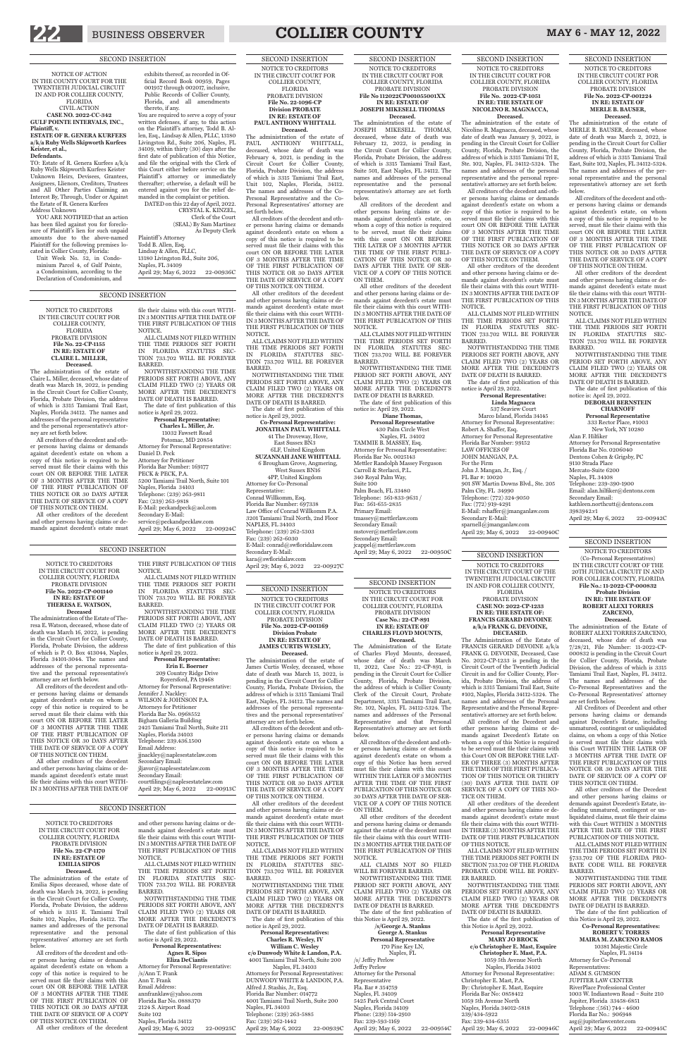

# BUSINESS OBSERVER **COLLIER COUNTY** MAY 6 - MAY 12, 2022

SECOND INSERTION

NOTICE TO CREDITORS IN THE CIRCUIT COURT FOR COLLIER COUNTY, FLORIDA PROBATE DIVISION **File No. 2022-CP-001169 Division Probate IN RE: ESTATE OF JAMES CURTIS WESLEY, Deceased.** 

The administration of the estate of James Curtis Wesley, deceased, whose date of death was March 15, 2022, is pending in the Circuit Court for Collier County, Florida, Probate Division, the address of which is 3315 Tamiami Trail East, Naples, FL 34112. The names and addresses of the personal representatives and the personal representatives' attorney are set forth below.

All creditors of the decedent and other persons having claims or demands against decedent's estate on whom a copy of this notice is required to be served must file their claims with this court ON OR BEFORE THE LATER

**Personal Representatives: Charles R. Wesley, IV William C. Wesley c/o Dunwody White & Landon, P.A.** 4001 Tamiami Trail North, Suite 200 Naples, FL 34103 Attorneys for Personal Representatives: DUNWODY WHITE & LANDON, P.A. Alfred J. Stashis, Jr., Esq. Florida Bar Number: 014772 4001 Tamiami Trail North, Suite 200 Naples, FL 34103 Telephone: (239) 263-5885 Fax: (239) 262-1442 April 29; May 6, 2022 22-00939C

OF 3 MONTHS AFTER THE TIME OF THE FIRST PUBLICATION OF THIS NOTICE OR 30 DAYS AFTER THE DATE OF SERVICE OF A COPY OF THIS NOTICE ON THEM.

All other creditors of the decedent and other persons having claims or demands against decedent's estate must file their claims with this court WITH-IN 3 MONTHS AFTER THE DATE OF THE FIRST PUBLICATION OF THIS NOTICE.

ALL CLAIMS NOT FILED WITHIN THE TIME PERIODS SET FORTH IN FLORIDA STATUTES SEC-TION 733.702 WILL BE FOREVER BARRED.

**Deceased.**<br>The administration of the estate of Nicolino R. Magnacca, deceased, whose date of death was January 9, 2022, is pending in the Circuit Court for Collier County, Florida, Probate Division, the address of which is 3315 Tamiami Trl E, Ste. 102, Naples, FL 34112-5324. The names and addresses of the personal representative and the personal representative's attorney are set forth below. All creditors of the decedent and oth-

NOTWITHSTANDING THE TIME PERIODS SET FORTH ABOVE, ANY CLAIM FILED TWO (2) YEARS OR MORE AFTER THE DECEDENT'S DATE OF DEATH IS BARRED.

The date of first publication of this notice is April 29, 2022.

**Linda Magnacca** 537 Seaview Court Marco Island, Florida 34145 Attorney for Personal Representative: Robert A. Shaffer, Esq. Attorney for Personal Representative Florida Bar Number: 99152 LAW OFFICES OF JOHN MANGAN, P.A. For the Firm John J. Mangan, Jr., Esq. / FL Bar #: 10020 901 SW Martin Downs Blvd., Ste. 205 Palm City, FL 34990 Telephone: (772) 324-9050 Fax: (772) 919-4291 E-Mail: rshaffer@jmanganlaw.com Secondary E-Mail: sparnell@jmanganlaw.com April 29; May 6, 2022 22-00940C

SECOND INSERTION NOTICE TO CREDITORS IN THE CIRCUIT COURT FOR COLLIER COUNTY, FLORIDA PROBATE DIVISION **File No. 2022-CP-1051 IN RE: THE ESTATE OF NICOLINO R. MAGNACCA,**

er persons having claims or demands against decedent's estate on whom a copy of this notice is required to be served must file their claims with this court ON OR BEFORE THE LATER OF 3 MONTHS AFTER THE TIME OF THE FIRST PUBLICATION OF THIS NOTICE OR 30 DAYS AFTER THE DATE OF SERVICE OF A COPY OF THIS NOTICE ON THEM.

> Alan F. Hilfiker Attorney for Personal Representative Florida Bar No. 0206040 Dentons Cohen & Grigsby, PC 9110 Strada Place Mercato-Suite 6200 Naples, FL 34108 Telephone: 239-390-1900 Email: alan.hilfiker@dentons.com Secondary Email: kathleen.northcutt@dentons.com 3983942.v1 April 29; May 6, 2022 22-00942C

All other creditors of the decedent and other persons having claims or demands against decedent's estate must file their claims with this court WITH-IN 3 MONTHS AFTER THE DATE OF THE FIRST PUBLICATION OF THIS NOTICE.

ALL CLAIMS NOT FILED WITHIN THE TIME PERIODS SET FORTH IN FLORIDA STATUTES SEC-TION 733.702 WILL BE FOREVER BARRED.

NOTWITHSTANDING THE TIME PERIODS SET FORTH ABOVE, ANY CLAIM FILED TWO (2) YEARS OR MORE AFTER THE DECEDENT'S DATE OF DEATH IS BARRED. The date of first publication of this

#### notice is April 29, 2022. **Personal Representative:**

SECOND INSERTION

NOTICE TO CREDITORS IN THE CIRCUIT COURT FOR COLLIER COUNTY, FLORIDA PROBATE DIVISION **File No. 2022-CP-001224 IN RE: ESTATE OF MERLE B. BAUSER,** 

**Deceased.**  The administration of the estate of MERLE B. BAUSER, deceased, whose date of death was March 2, 2022, is pending in the Circuit Court for Collier County, Florida, Probate Division, the address of which is 3315 Tamiami Trail East, Suite 102, Naples, FL 34112-5324. The names and addresses of the personal representative and the personal representative's attorney are set forth below.

NOTWITHSTANDING THE TIME PERIODS SET FORTH ABOVE, ANY CLAIM FILED TWO (2) YEARS OR MORE AFTER THE DECEDENT'S DATE OF DEATH IS BARRED. The date of the first publication of

All creditors of the decedent and other persons having claims or demands against decedent's estate, on whom a copy of this notice is required to be served, must file their claims with this court ON OR BEFORE THE LATER OF 3 MONTHS AFTER THE TIME OF THE FIRST PUBLICATION OF THIS NOTICE OR 30 DAYS AFTER THE DATE OF SERVICE OF A COPY OF THIS NOTICE ON THEM.

**MARY JO BROCK c/o Christopher E. Mast, Esquire Christopher E. Mast, P.A.** 1059 5th Avenue North Naples, Florida 34102 Attorney for Personal Representative: Christopher E. Mast, P.A. By: Christopher E. Mast, Esquire Florida Bar No: 0858412 1059 5th Avenue North Naples, Florida 34012-5818 239/434-5922 Fax: 239-434-6355 April 29; May 6, 2022 22-00946C

All other creditors of the decedent and other persons having claims or demands against decedent's estate must file their claims with this court WITH-IN 3 MONTHS AFTER THE DATE OF THE FIRST PUBLICATION OF THIS NOTICE.

ALL CLAIMS NOT FILED WITHIN THE TIME PERIODS SET FORTH IN FLORIDA STATUTES SEC-TION 733.702 WILL BE FOREVER BARRED.

NOTWITHSTANDING THE TIME PERIOD SET FORTH ABOVE, ANY CLAIM FILED TWO (2) YEARS OR MORE AFTER THE DECEDENT'S DATE OF DEATH IS BARRED. The date of first publication of this

notice is: April 29, 2022.

#### **DEBORAH BERNSTEIN CHARNOFF**

**Personal Representative** 333 Rector Place, #1003 New York, NY 10280

PERIOD SET FORTH ABOVE, ANY CLAIM FILED TWO (2) YEARS OR MORE AFTER THE DECEDENT'S DATE OF DEATH IS BARRED.

**Diane Thomas, Personal Representative** 430 Palm Circle West Naples, FL 34102 TAMMIE B. MASSEY, Esq. Attorney for Personal Representative: Florida Bar No. 0025143 Mettler Randolph Massey Ferguson Carroll & Sterlacci, P.L. 340 Royal Palm Way, Suite 100 Palm Beach, FL 33480 Telephone: 561-833-9631 / Fax: 561-655-2835 Primary Email: tmassey@mettlerlaw.com Secondary Email: mstover@mettlerlaw.com Secondary Email: jcappel@mettlerlaw.com April 29; May 6, 2022 22-00950C

SECOND INSERTION NOTICE TO CREDITORS

(Co-Personal Representatives) IN THE CIRCUIT COURT OF THE 20TH JUDICIAL CIRCUIT IN AND FOR COLLIER COUNTY, FLORIDA **File No.: 11-2022-CP-000832**

#### **Probate Division IN RE: THE ESTATE OF ROBERT ALEXI TORRES ZARCENO, Deceased.**

The administration of the Estate of ROBERT ALEXI TORRES ZARCENO, deceased, whose date of death was 7/28/21, File Number: 11-2022-CP-000832 is pending in the Circuit Court for Collier County, Florida, Probate Division, the address of which is 3315 Tamiami Trail East, Naples, FL 34112. The names and addresses of the Co-Personal Representatives and the Co-Personal Representatives' attorney are set forth below.

All Creditors of Decedent and other persons having claims or demands against Decedent's Estate, including unmatured, contingent or unliquidated claims, on whom a copy of this Notice is served must file their claims with this Court WITHIN THE LATER OF 3 MONTHS AFTER THE DATE OF THE FIRST PUBLICATION OF THIS

**/s/George A. Stankus George A. Stankus Personal Representative** 170 Pine Key LN, Naples, FL /s/ Jeffry Perlow Jeffry Perlow Attorney for the Personal Representative Fla. Bar # 354759 Naples, Fl. 34109 5425 Park Central Court Naples, Florida 34109 Phone: (239) 514-2910 Fax: 239-593-1169 April 29; May 6, 2022 22-00954C

NOTICE OR 30 DAYS AFTER THE DATE OF SERVICE OF A COPY OF THIS NOTICE ON THEM.

All other creditors of the Decedent and other persons having claims or demands against Decedent's Estate, including unmatured, contingent or unliquidated claims, must file their claims with this Court WITHIN 3 MONTHS AFTER THE DATE OF THE FIRST PUBLICATION OF THIS NOTICE.

ALL CLAIMS NOT FILED WITHIN THE TIME PERIODS SET FORTH IN §733.702 OF THE FLORIDA PRO-BATE CODE WILL BE FOREVER BARRED.

NOTWITHSTANDING THE TIME PERIODS SET FORTH ABOVE, ANY CLAIM FILED TWO (2) YEARS OR MORE AFTER THE DECEDENT'S DATE OF DEATH IS BARRED.

The date of the first publication of this Notice is April 29, 2022.

**Co-Personal Representatives: ROBERT V. TORRES MAIRA M. ZARCENO RAMOS** 10381 Majestic Circle Naples, FL 34114 Attorney for Co-Personal Representatives: ADAM S. GUMSON JUPITER LAW CENTER RiverPlace Professional Center 1003 W. Indiantown Road – Suite 210 Jupiter, Florida 33458-6851 Telephone :(561) 744 - 4600 Florida Bar No.: 906948 asg@jupiterlawcenter.com April 29; May 6, 2022 22-00945C

SECOND INSERTION NOTICE TO CREDITORS IN THE CIRCUIT COURT OF THE TWENTIETH JUDICIAL CIRCUIT IN AND FOR COLLIER COUNTY,

#### FLORIDA PROBATE DIVISION **CASE NO: 2022-CP-1233 IN RE: THE ESTATE OF: FRANCIS GERARD DEVOINE a/k/a FRANK G. DEVOINE, DECEASED.**

YOU ARE NOTIFIED that an action has been filed against you for foreclosure of Plaintiff's lien for such unpaid amounts due to the above-named Plaintiff for the following premises located in Collier County, Florida: Unit Week No. 52, in Condo-

> The Administration of the Estate of FRANCIS GERARD DEVOINE a/k/a FRANK G. DEVOINE, Deceased, Case No. 2022-CP-1233 is pending in the Circuit Court of the Twentieth Judicial Circuit in and for Collier County, Florida, Probate Division, the address of which is 3315 Tamiami Trail East, Suite #102, Naples, Florida 34112-5324. The names and addresses of the Personal Representative and the Personal Representative's attorney are set forth below. All creditors of the Decedent and other persons having claims or demands against Decedent's Estate on whom a copy of this Notice is required to be served must file their claims with this Court ON OR BEFORE THE LAT-ER OF THREE (3) MONTHS AFTER

THE TIME OF THE FIRST PUBLICA-TION OF THIS NOTICE OR THIRTY (30) DAYS AFTER THE DATE OF SERVICE OF A COPY OF THIS NO-TICE ON THEM.

All other creditors of the decedent and other persons having claims or demands against decedent's estate must file their claims with this court WITH-IN THREE (3) MONTHS AFTER THE DATE OF THE FIRST PUBLICATION OF THIS NOTICE.

ALL CLAIMS NOT FILED WITHIN THE TIME PERIODS SET FORTH IN SECTION 733.702 OF THE FLORIDA PROBATE CODE WILL BE FOREV-ER BARRED.

this Notice is April 29, 2022. **Personal Representative**

jljavor@naplesestatelaw.com Secondary Email: courtfilings@naplesestatelaw.com April 29; May 6, 2022 22-00913C

SECOND INSERTION NOTICE TO CREDITORS IN THE CIRCUIT COURT FOR COLLIER COUNTY, FLORIDA PROBATE DIVISION **File No 112022CP001055001XX IN RE: ESTATE OF**

#### **JOSEPH MIKESELL THOMAS Deceased.** The administration of the estate of

JOSEPH MIKESELL THOMAS, deceased, whose date of death was February 12, 2022, is pending in the Circuit Court for Collier County, Florida, Probate Division, the address of which is 3315 Tamiami Trail East, Suite 501, East Naples, FL 34112. The names and addresses of the personal representative and the personal representative's attorney are set forth below.

Naples, Florida 34103 Telephone: (239) 263-9811 Fax: (239) 263-9818 E-Mail: peckandpeck@aol.com Secondary E-Mail: service@peckandpecklaw.com April 29; May 6, 2022 22-00924C

All creditors of the decedent and other persons having claims or demands against decedent's estate, on whom a copy of this notice is required to be served, must file their claims with this court ON OR BEFORE THE LATER OF 3 MONTHS AFTER THE TIME OF THE FIRST PUBLI-CATION OF THIS NOTICE OR 30 DAYS AFTER THE DATE OF SER-VICE OF A COPY OF THIS NOTICE ON THEM.

All other creditors of the decedent and other persons having claims or demands against decedent's estate must file their claims with this court WITH-IN 3 MONTHS AFTER THE DATE OF THE FIRST PUBLICATION OF THIS NOTICE.

ALL CLAIMS NOT FILED WITHIN THE TIME PERIODS SET FORTH IN FLORIDA STATUTES SEC-TION 733.702 WILL BE FOREVER BARRED. NOTWITHSTANDING THE TIME

The date of first publication of this notice is: April 29, 2022.

Attorney for Personal Representative: /s/Ann T. Frank Ann T. Frank Email Address: annfranklaw@yahoo.com Florida Bar No. 0888370 2124 S. Airport Road Suite 102 Naples, Florida 34112 April 29; May 6, 2022 22-00925C

#### SECOND INSERTION NOTICE TO CREDITORS IN THE CIRCUIT COURT FOR COLLIER COUNTY, FLORIDA PROBATE DIVISION **Case No.: 22-CP-891 IN RE: ESTATE OF CHARLES FLOYD MOUNTS, Deceased.**

The Administration of the Estate of Charles Floyd Mounts, deceased, whose date of death was March 11, 2022, Case No.: 22-CP-891, is pending in the Circuit Court for Collier County, Florida, Probate Division, the address of which is Collier County Clerk of the Circuit Court, Probate Department, 3315 Tamiami Trail East, Ste. 102, Naples, FL 34112-5324. The names and addresses of the Personal Representative and that Personal Representative's attorney are set forth below.

All creditors of the decedent and other persons having claims or demands against decedent's estate on whom a copy of this Notice has been served

must file their claims with this court WITHIN THE LATER OF 3 MONTHS AFTER THE TIME OF THE FIRST PUBLICATION OF THIS NOTICE OR 30 DAYS AFTER THE DATE OF SER-VICE OF A COPY OF THIS NOTICE ON THEM.

All other creditors of the decedent and persons having claims or demands against the estate of the decedent must file their claims with this court WITH-IN 3 MONTHS AFTER THE DATE OF THE FIRST PUBLICATION OF THIS NOTICE.

ALL CLAIMS NOT SO FILED WILL BE FOREVER BARRED.

NOTWITHSTANDING THE TIME PERIOD SET FORTH ABOVE, ANY CLAIM FILED TWO (2) YEARS OR MORE AFTER THE DECEDENT'S DATE OF DEATH IS BARRED.

The date of the first publication of this Notice is April 29, 2022.

#### SECOND INSERTION NOTICE TO CREDITORS IN THE CIRCUIT COURT FOR COLLIER COUNTY, FLORIDA PROBATE DIVISION **File No. 22-1096-CP Division PROBATE IN RE: ESTATE OF PAUL ANTHONY WHITTALL**

**Deceased.** The administration of the estate of PAUL ANTHONY WHITTALL, deceased, whose date of death was February 4, 2021, is pending in the Circuit Court for Collier County, Florida, Probate Division, the address of which is 3315 Tamiami Trail East, Unit 102, Naples, Florida, 34112. The names and addresses of the Co-Personal Representative and the Co-Personal Representatives' attorney are set forth below.

All creditors of the decedent and other persons having claims or demands against decedent's estate on whom a copy of this notice is required to be served must file their claims with this court ON OR BEFORE THE LATER OF 3 MONTHS AFTER THE TIME OF THE FIRST PUBLICATION OF THIS NOTICE OR 30 DAYS AFTER THE DATE OF SERVICE OF A COPY OF THIS NOTICE ON THEM.

All other creditors of the decedent and other persons having claims or demands against decedent's estate must file their claims with this court WITH-IN 3 MONTHS AFTER THE DATE OF THE FIRST PUBLICATION OF THIS NOTICE.

ALL CLAIMS NOT FILED WITHIN THE TIME PERIODS SET FORTH IN FLORIDA STATUTES SEC-TION 733.702 WILL BE FOREVER BARRED.

NOTWITHSTANDING THE TIME PERIODS SET FORTH ABOVE, ANY CLAIM FILED TWO (2) YEARS OR MORE AFTER THE DECEDENT'S DATE OF DEATH IS BARRED.

The date of first publication of this notice is April 29, 2022.

**Co-Personal Representative: JONATHAN PAUL WHITTALL** 41 The Droveway, Hove, East Sussex BN3 6LF, United Kingdom **SUZANNAH JANE WHITTALL** 6 Brougham Grove, Angmering, West Sussex BN16 4PP, United Kingdom Attorney for Co-Personal Representative: Conrad Willkomm, Esq. Florida Bar Number: 697338 Law Office of Conrad Willkomm P.A. 3201 Tamiami Trail North, 2nd Floor NAPLES, FL 34103 Telephone: (239) 262-5303 Fax: (239) 262-6030 E-Mail: conrad@swfloridalaw.com Secondary E-Mail: kara@swfloridalaw.com

April 29; May 6, 2022 22-00927C

#### NOTICE OF ACTION IN THE COUNTY COURT FOR THE TWENTIETH JUDICIAL CIRCUIT IN AND FOR COLLIER COUNTY, FLORIDA CIVIL ACTION **CASE NO. 2022-CC-342 GULF POINTE INTERVALS, INC., Plaintiff, v. ESTATE OF R. GENERA KURFEES**

#### **a/k/a Ruby Wells Skipworth Kurfees Keister, et al., Defendants.**

TO: Estate of R. Genera Kurfees a/k/a Ruby Wells Skipworth Kurfees Keister Unknown Heirs, Devisees, Grantees, Assignees, Llienors, Creditors, Trustees and All Other Parties Claiming an Interest By, Through, Under or Against the Estate of R. Genera Kurfees Address Unknown

minium Parcel 4, of Gulf Pointe, a Condominium, according to the Declaration of Condominium, and

exhibits thereof, as recorded in Official Record Book 00959, Pages 001957 through 002017, inclusive, Public Records of Collier County, Florida, and all amendments thereto, if any. You are required to serve a copy of your

written defenses, if any, to this action on the Plaintiff 's attorney, Todd B. Allen, Esq., Lindsay & Allen, PLLC, 13180 Livingston Rd., Suite 206, Naples, FL 34109, within thirty (30) days after the first date of publication of this Notice, and file the original with the Clerk of this Court either before service on the Plaintiff's attorney or immediately thereafter; otherwise, a default will be entered against you for the relief demanded in the complaint or petition. DATED on this 22 day of April, 2022. CRYSTAL K. KINZEL, Clerk of the Court

 (SEAL) By Sam Martinez As Deputy Clerk Plaintiff's Attorney Todd B. Allen, Esq. Lindsay & Allen, PLLC, 13180 Livingston Rd., Suite 206, Naples, FL 34109 April 29; May 6, 2022 22-00936C

NOTICE TO CREDITORS IN THE CIRCUIT COURT FOR COLLIER COUNTY, FLORIDA PROBATE DIVISION **File No. 2022-CP-001140 IN RE: ESTATE OF THERESA E. WATSON, Deceased**

The administration of the Estate of Theresa E. Watson, deceased, whose date of death was March 16, 2022, is pending in the Circuit Court for Collier County, Florida, Probate Division, the address of which is P. O. Box 413044, Naples, Florida 34101-3044. The names and addresses of the personal representative and the personal representative's attorney are set forth below.

All creditors of the decedent and other persons having claims or demands against decedent's estate on whom a copy of this notice is required to be served must file their claims with this court ON OR BEFORE THE LATER OF 3 MONTHS AFTER THE TIME OF THE FIRST PUBLICATION OF THIS NOTICE OR 30 DAYS AFTER THE DATE OF SERVICE OF A COPY OF THIS NOTICE ON THEM.

All other creditors of the decedent

and other persons having claims or demands against decedent's estate must file their claims with this court WITH-IN 3 MONTHS AFTER THE DATE OF

THE FIRST PUBLICATION OF THIS NOTICE. ALL CLAIMS NOT FILED WITHIN THE TIME PERIODS SET FORTH IN FLORIDA STATUTES SEC-TION 733.702 WILL BE FOREVER BARRED.

NOTWITHSTANDING THE TIME PERIODS SET FORTH ABOVE, ANY CLAIM FILED TWO (2) YEARS OR MORE AFTER THE DECEDENT'S DATE OF DEATH IS BARRED. The date of first publication of this

notice is April 29, 2022. **Personal Representative: Erin E. Boerner**

209 Country Ridge Drive Royersford, PA 19468 Attorney for Personal Representative: Jennifer J. Nackley: WILSON & JOHNSON P.A. Attorneys for Petitioner Florida Bar No. 0968552 Bigham Galleria Building 2425 Tamiami Trail North, Suite 211 Naples, Florida 34103 Telephone: 239.436.1500 Email Address: jjnackley@naplesestatelaw.com Secondary Email:

NOTICE TO CREDITORS IN THE CIRCUIT COURT FOR COLLIER COUNTY, FLORIDA PROBATE DIVISION **File No. 22-CP-1155 IN RE: ESTATE OF CLAIRE L. MILLER,**

**Deceased.** The administration of the estate of Claire L. Miller, deceased, whose date of death was March 18, 2022, is pending in the Circuit Court for Collier County, Florida, Probate Division, the address of which is 3315 Tamiami Trail East, Naples, Florida 34112. The names and addresses of the personal representative and the personal representative's attorney are set forth below.

All creditors of the decedent and other persons having claims or demands against decedent's estate on whom a copy of this notice is required to be served must file their claims with this court ON OR BEFORE THE LATER OF 3 MONTHS AFTER THE TIME OF THE FIRST PUBLICATION OF THIS NOTICE OR 30 DAYS AFTER THE DATE OF SERVICE OF A COPY OF THIS NOTICE ON THEM.

All other creditors of the decedent and other persons having claims or demands against decedent's estate must

file their claims with this court WITH-IN 3 MONTHS AFTER THE DATE OF THE FIRST PUBLICATION OF THIS NOTICE. ALL CLAIMS NOT FILED WITHIN THE TIME PERIODS SET FORTH

IN FLORIDA STATUTES SEC-TION 733.702 WILL BE FOREVER BARRED. NOTWITHSTANDING THE TIME

PERIODS SET FORTH ABOVE, ANY CLAIM FILED TWO (2) YEARS OR MORE AFTER THE DECEDENT'S DATE OF DEATH IS BARRED. The date of first publication of this

notice is April 29, 2022. **Personal Representative:**

**Charles L. Miller, Jr.** 11032 Fawsett Road Potomac, MD 20854 Attorney for Personal Representative: Daniel D. Peck Attorney for Petitioner Florida Bar Number: 169177 PECK & PECK, P.A. 5200 Tamiami Trail North, Suite 101

#### NOTICE TO CREDITORS IN THE CIRCUIT COURT FOR COLLIER COUNTY, FLORIDA PROBATE DIVISION **File No. 22-CP-1170 IN RE: ESTATE OF EMILIA SIPOS Deceased.**

The administration of the estate of Emilia Sipos deceased, whose date of death was March 24, 2022, is pending in the Circuit Court for Collier County, Florida, Probate Division, the address of which is 3315 E. Tamiami Trail Suite 102, Naples, Florida 34112. The names and addresses of the personal representative and the personal representatives' attorney are set forth below.

All creditors of the decedent and other persons having claims or demands against decedent's estate on whom a copy of this notice is required to be served must file their claims with this court ON OR BEFORE THE LATER OF 3 MONTHS AFTER THE TIME OF THE FIRST PUBLICATION OF THIS NOTICE OR 30 DAYS AFTER THE DATE OF SERVICE OF A COPY OF THIS NOTICE ON THEM.

All other creditors of the decedent

and other persons having claims or demands against decedent's estate must file their claims with this court WITH-IN 3 MONTHS AFTER THE DATE OF THE FIRST PUBLICATION OF THIS NOTICE.

ALL CLAIMS NOT FILED WITHIN THE TIME PERIODS SET FORTH IN FLORIDA STATUTES SEC-TION 733.702 WILL BE FOREVER BARRED.

NOTWITHSTANDING THE TIME PERIODS SET FORTH ABOVE, ANY CLAIM FILED TWO (2) YEARS OR MORE AFTER THE DECEDENT'S DATE OF DEATH IS BARRED.

The date of first publication of this notice is April 29, 2022.

#### **Personal Representatives: Agnes R. Sipos**

#### **Eliza DeCiantis**

#### SECOND INSERTION

#### SECOND INSERTION

#### SECOND INSERTION

# SECOND INSERTION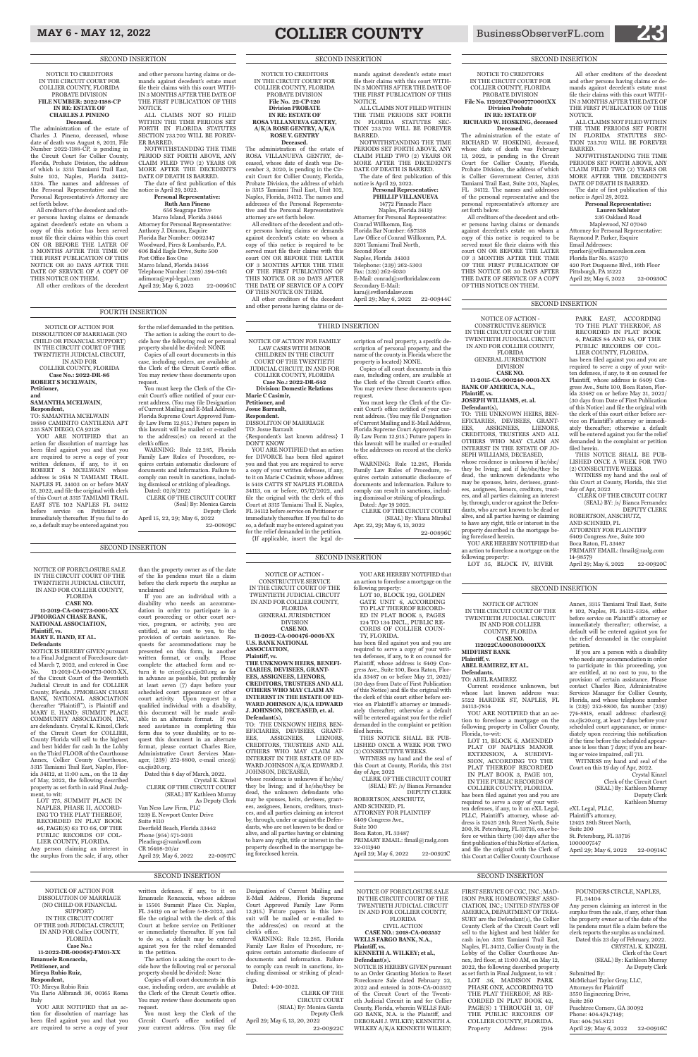# MAY 6 - MAY 12, 2022 **COLLIER COUNTY** BusinessObserverFL.com

#### SECOND INSERTION

NOTICE OF ACTION FOR DISSOLUTION OF MARRIAGE (NO CHILD OR FINANCIAL SUPPORT) IN THE CIRCUIT COURT OF THE TWENTIETH JUDICIAL CIRCUIT, IN AND FOR

COLLIER COUNTY, FLORIDA **Case No.: 2022-DR-86 ROBERT S MCELWAIN, Petitioner,**

#### **and SAMANTHA MCELWAIN,**

**Respondent,** TO: SAMANTHA MCELWAIN 18680 CAMINITO CANTILENA APT 235 SAN DIEGO, CA 92128

YOU ARE NOTIFIED that an action for dissolution of marriage has been filed against you and that you are required to serve a copy of your written defenses, if any, to it on ROBERT S MCELWAIN whose address is 2614 N TAMIAMI TRAIL NAPLES FL 34103 on or before MAY 15, 2022, and file the original with clerk of this Court at 3315 TAMIAMI TRAIL EAST STE 102 NAPLES FL 34112 before service on Petitioner or immediately thereafter. If you fail to do so, a default may be entered against you

for the relief demanded in the petition. The action is asking the court to decide how the following real or personal property should be divided: NONE

Copies of all court documents in this case, including orders, are available at the Clerk of the Circuit Court's office. You may review these documents upon request.

You must keep the Clerk of the Circuit Court's office notified of your current address. (You may file Designation of Current Mailing and E-Mail Address, Florida Supreme Court Approved Family Law Form 12.915.) Future papers in this lawsuit will be mailed or e-mailed to the address(es) on record at the clerk's office.

WARNING: Rule 12.285, Florida Family Law Rules of Procedure, requires certain automatic disclosure of documents and information. Failure to comply can result in sanctions, including dismissal or striking of pleadings. Dated: 02/8/2022

CLERK OF THE CIRCUIT COURT (Seal) By: Monica Garcia

Deputy Clerk April 15, 22, 29; May 6, 2022 22-00809C

CLERK OF THE CIRCUIT COURT (SEAL) By: Yliana Mirabal Apr. 22, 29; May 6, 13, 2022

## FOURTH INSERTION

NOTICE OF ACTION FOR FAMILY LAW CASES WITH MINOR CHILDREN IN THE CIRCUIT COURT OF THE TWENTIETH JUDICIAL CIRCUIT, IN AND FOR COLLIER COUNTY, FLORIDA **Case No.: 2022-DR-642 Division: Domestic Relations**

**Marie C Casimir, Petitioner, and Josue Barrault, Respondent.**

DISSOLITON OF MARRIAGE

TO: Josue Barrault

{Respondent's last known address} I

DON'T KNOW

YOU ARE NOTIFIED that an action for DIVORCE has been filed against you and that you are required to serve a copy of your written defenses, if any, to it on Marie C Casimir, whose address is 5418 CATTS ST NAPLES FLORIDA 34113, on or before, 05/17/2022, and file the original with the clerk of this Court at 3315 Tamiami Trail E. Naples, FL 34112 before service on Petitioner or immediately thereafter. If you fail to do so, a default may be entered against you for the relief demanded in the petition. {If applicable, insert the legal de-

scription of real property, a specific description of personal property, and the name of the county in Florida where the property is located} NONE. Copies of all court documents in this

case, including orders, are available at the Clerk of the Circuit Court's office. You may review these documents upon request.

You must keep the Clerk of the Circuit Court's office notified of your current address. (You may file Designation of Current Mailing and E-Mail Address, Florida Supreme Court Approved Family Law Form 12.915.) Future papers in this lawsuit will be mailed or e-mailed to the addresses on record at the clerk's office.

WARNING: Rule 12.285, Florida Family Law Rules of Procedure, requires certain automatic disclosure of documents and information. Failure to comply can result in sanctions, including dismissal or striking of pleadings. Dated: Apr 19 2022.

22-00896C

#### THIRD INSERTION

NOTICE OF ACTION IN THE CIRCUIT COURT OF THE TWENTIETH JUDICIAL CIRCUIT IN AND FOR COLLIER COUNTY, FLORIDA

**CASE NO. 112022CA0003010001XX MIDFIRST BANK**

#### **Plaintiff, v. ABEL RAMIREZ, ET AL.**

**Defendants.**

TO: ABEL RAMIREZ Current residence unknown, but whose last known address was: 5522 HARDEE ST, NAPLES, FL

34113-7814

YOU ARE NOTIFIED that an action to foreclose a mortgage on the following property in Collier County, Florida, to-wit:

LOT 11, BLOCK 6, AMENDED PLAT OF NAPLES MANOR EXTENSION, A SUBDIVI-SION, ACCORDING TO THE

Annex, 3315 Tamiami Trail East, Suite # 102, Naples, FL 34112-5324, either before service on Plaintiff 's attorney or immediately thereafter; otherwise, a default will be entered against you for the relief demanded in the complaint petition.

LOT 10, BLOCK 192, GOLDEN GATE UNIT 6, ACCORDING TO PLAT THEREOF RECORD-

If you are a person with a disability who needs any accommodation in order to participate in this proceeding, you are entitled, at no cost to you, to the provision of certain assistance. Please contact Charles Rice, Administrative Services Manager for Collier County, Florida, and whose telephone number is (239) 252-8800, fax number (239) 774-8818, email address: charlesr@ ca.cjis20.org, at least 7 days before your scheduled court appearance, or immediately upon receiving this notification if the time before the scheduled appearance is less than 7 days; if you are hearing or voice impaired, call 711.

WITNESS my hand and seal of the

whose residence is unknown if he/she/ they be living; and if he/she/they be dead, the unknown defendants who may be spouses, heirs, devisees, grantees, assignees, lienors, creditors, trustees, and all parties claiming an interest by, through, under or against the Defendants, who are not known to be dead or alive, and all parties having or claiming to have any right, title or interest in the property described in the mortgage being foreclosed herein.

YOU ARE HEREBY NOTIFIED that an action to foreclose a mortgage on the

#### SECOND INSERTION

NOTICE OF FORECLOSURE SALE IN THE CIRCUIT COURT OF THE TWENTIETH JUDICIAL CIRCUIT, IN AND FOR COLLIER COUNTY, FLORIDA **CASE NO. 11-2019-CA-004773-0001-XX JPMORGAN CHASE BANK, NATIONAL ASSOCIATION, Plaintiff, vs. MARY E. HAND, ET AL. Defendants**

ROBERTSON, ANSCHUTZ, AND SCHNEID, PL ATTORNEY FOR PLAINTIFF 6409 Congress Ave., Suite 100 Boca Raton, FL 33487 PRIMARY EMAIL: flmail@raslg.com 14-98579 April 29; May 6, 2022 22-00920C

NOTICE IS HEREBY GIVEN pursuant to a Final Judgment of Foreclosure dated March 7, 2022, and entered in Case No. 11-2019-CA-004773-0001-XX, of the Circuit Court of the Twentieth Judicial Circuit in and for COLLIER County, Florida. JPMORGAN CHASE BANK, NATIONAL ASSOCIATION (hereafter "Plaintiff "), is Plaintiff and MARY E. HAND; SUMMIT PLACE COMMUNITY ASSOCIATION, INC, are defendants. Crystal K. Kinzel, Clerk of the Circuit Court for COLLIER, County Florida will sell to the highest and best bidder for cash In the Lobby on the Third FLOOR of the Courthouse Annex, Collier County Courthouse,

YOU ARE NOTIFIED that an action for dissolution of marriage has been filed against you and that you are required to serve a copy of your

than the property owner as of the date of the lis pendens must file a claim before the clerk reports the surplus as unclaimed

> **Defendant(s).** NOTICE IS HEREBY GIVEN pursuant

If you are an individual with a disability who needs an accommodation in order to participate in a court proceeding or other court service, program, or activity, you are entitled, at no cost to you, to the provision of certain assistance. Requests for accommodations may be presented on this form, in another written format, or orally. Please complete the attached form and return it to crice@ca.cjis20.org as far in advance as possible, but preferably at least seven (7) days before your scheduled court appearance or other court activity. Upon request by a qualified individual with a disability, this document will be made available in an alternate format. If you need assistance in completing this form due to your disability, or to request this document in an alternate format, please contact Charles Rice, Administrative Court Services Manager, (239) 252-8800, e-mail crice@

> Submitted By: McMichael Taylor Gray, LLC, Attorneys for Plaintiff 3550 Engineering Drive, Suite 260 Peachtree Corners, GA 30092 Phone: 404.474.7149; Fax: 404.745.8121 April 29; May 6, 2022 22-00916C

SECOND INSERTION

NOTICE OF ACTION - CONSTRUCTIVE SERVICE IN THE CIRCUIT COURT OF THE TWENTIETH JUDICIAL CIRCUIT IN AND FOR COLLIER COUNTY,

**Deceased.**<br>The administration of the estate of ROSA VILLANUEVA GENTRY, deceased, whose date of death was December 3, 2020, is pending in the Circuit Court for Collier County, Florida, Probate Division, the address of which is 3315 Tamiami Trail East, Unit 102, Naples, Florida, 34112. The names and addresses of the Personal Representative and the Personal Representative's attorney are set forth below.

FLORIDA GENERAL JURISDICTION DIVISION **CASE NO.** 

**11-2022-CA-000476-0001-XX U.S. BANK NATIONAL ASSOCIATION,**

**Plaintiff, vs. THE UNKNOWN HEIRS, BENEFI-CIARIES, DEVISEES, GRANT-EES, ASSIGNEES, LIENORS, CREDITORS, TRUSTEES AND ALL OTHERS WHO MAY CLAIM AN INTEREST IN THE ESTATE OF ED-WARD JOHNSON A/K/A EDWARD J. JOHNSON, DECEASED, et. al. Defendant(s),**

TO: THE UNKNOWN HEIRS, BEN-EFICIARIES, DEVISEES, GRANT-EES, ASSIGNEES, LIENORS, CREDITORS, TRUSTEES AND ALL OTHERS WHO MAY CLAIM AN INTEREST IN THE ESTATE OF ED-

YOU ARE HEREBY NOTIFIED that an action to foreclose a mortgage on the following property:

NOTWITHSTANDING THE TIME PERIOD SET FORTH ABOVE, ANY CLAIM FILED TWO (2) YEARS OR MORE AFTER THE DECEDENT'S DATE OF DEATH IS BARRED.

> ED IN PLAT BOOK 5, PAGES 124 TO 134 INCL., PUBLIC RE-CORDS OF COLLIER COUN-TY, FLORIDA. has been filed against you and you are required to serve a copy of your written defenses, if any, to it on counsel for Plaintiff, whose address is 6409 Con-

**Ruth Ann Pineno** 656 Seagrape Drive Marco Island, Florida 34145 Attorney for Personal Representative: Anthony J. Dimora, Esquire Florida Bar Number: 0092347 Woodward, Pires & Lombardo, P.A. 606 Bald Eagle Drive, Suite 500 Post Office Box One Marco Island, Florida 34146 Telephone Number: (239) 394-5161 adimora@wpl-legal.com April 29; May 6, 2022 22-00961C

gress Ave., Suite 100, Boca Raton, Florida 33487 on or before May 21, 2022/ (30 days from Date of First Publication of this Notice) and file the original with the clerk of this court either before service on Plaintiff 's attorney or immediately thereafter; otherwise a default will be entered against you for the relief demanded in the complaint or petition filed herein.

| 3315 Tamiami Trail East, Naples, Flor-<br>ida 34112, at 11:00 a.m., on the 12 day<br>of May, 2022, the following described<br>property as set forth in said Final Judg-<br>ment, to wit:<br>LOT 175, SUMMIT PLACE IN<br>NAPLES, PHASE II, ACCORD- | ca.cjis20.org.<br>Dated this 8 day of March, 2022.<br>Crystal K. Kinzel<br>CLERK OF THE CIRCUIT COURT<br>(SEAL) BY Kathleen Murray<br>As Deputy Clerk<br>Van Ness Law Firm, PLC         | WARD JOHNSON A/K/A EDWARD J.<br>JOHNSON, DECEASED,<br>whose residence is unknown if he/she/<br>they be living; and if he/she/they be<br>dead, the unknown defendants who<br>may be spouses, heirs, devisees, grant-<br>ees, assignees, lienors, creditors, trust-                               | this Court at County, Florida, this 21st<br>day of Apr, 2022<br>CLERK OF THE CIRCUIT COURT<br>(SEAL) BY: /s/ Bianca Fernandez<br>DEPUTY CLERK<br>ROBERTSON, ANSCHUTZ,<br>AND SCHNEID, PL | 01018 ACCONDING TO THE<br>PLAT THEREOF RECORDED<br>IN PLAT BOOK 3, PAGE 101.<br>IN THE PUBLIC RECORDS OF<br>COLLIER COUNTY, FLORIDA.<br>has been filed against you and you are<br>required to serve a copy of your writ-                                                                                                                                    | "The component and some of the<br>Court on this 19 day of Apr, 2022.<br>Crystal Kinzel<br>Clerk of the Circuit Court<br>(SEAL) By: Kathleen Murray<br>Deputy Clerk<br>Kathleen Murray |
|---------------------------------------------------------------------------------------------------------------------------------------------------------------------------------------------------------------------------------------------------|-----------------------------------------------------------------------------------------------------------------------------------------------------------------------------------------|-------------------------------------------------------------------------------------------------------------------------------------------------------------------------------------------------------------------------------------------------------------------------------------------------|------------------------------------------------------------------------------------------------------------------------------------------------------------------------------------------|-------------------------------------------------------------------------------------------------------------------------------------------------------------------------------------------------------------------------------------------------------------------------------------------------------------------------------------------------------------|---------------------------------------------------------------------------------------------------------------------------------------------------------------------------------------|
| ING TO THE PLAT THEREOF,<br>RECORDED IN PLAT BOOK<br>46, PAGE(S) 63 TO 66, OF THE<br>PUBLIC RECORDS OF COL-<br>LIER COUNTY, FLORIDA.<br>Any person claiming an interest in<br>the surplus from the sale, if any, other                            | 1239 E. Newport Center Drive<br>Suite #110<br>Deerfield Beach, Florida 33442<br>Phone (954) 571-2031<br>Pleadings@van lawfl.com<br>CR 16498-20/ar<br>April 29; May 6, 2022<br>22-00917C | ees, and all parties claiming an interest<br>by, through, under or against the Defen-<br>dants, who are not known to be dead or<br>alive, and all parties having or claiming<br>to have any right, title or interest in the<br>property described in the mortgage be-<br>ing foreclosed herein. | ATTORNEY FOR PLAINTIFF<br>6409 Congress Ave.,<br>Suite 100<br>Boca Raton, FL 33487<br>PRIMARY EMAIL: flmail@raslg.com<br>22-011940<br>22-00921C<br>April 29; May 6, 2022                 | ten defenses, if any, to it on eXL Legal,<br>PLLC, Plaintiff's attorney, whose ad-<br>dress is 12425 28th Street North, Suite<br>200, St. Petersburg, FL 33716, on or be-<br>fore or within thirty (30) days after the<br>first publication of this Notice of Action,<br>and file the original with the Clerk of<br>this Court at Collier County Courthouse | eXL Legal, PLLC,<br>Plaintiff's attorney,<br>12425 28th Street North,<br>Suite 200<br>St. Petersburg, FL 33716<br>1000007547<br>22-00914C<br>April 29; May 6, 2022                    |
|                                                                                                                                                                                                                                                   | <b>SECOND INSERTION</b>                                                                                                                                                                 |                                                                                                                                                                                                                                                                                                 |                                                                                                                                                                                          | <b>SECOND INSERTION</b>                                                                                                                                                                                                                                                                                                                                     |                                                                                                                                                                                       |

THIS NOTICE SHALL BE PUB-

LISHED ONCE A WEEK FOR TWO

(2) CONSECUTIVE WEEKS. WITNESS my hand and the seal of

#### SECOND INSERTION

NOTICE OF ACTION - CONSTRUCTIVE SERVICE IN THE CIRCUIT COURT OF THE TWENTIETH JUDICIAL CIRCUIT IN AND FOR COLLIER COUNTY, FLORIDA

Maplewood, NJ 07040 Attorney for Personal Representative: Raymond P. Parker, Esquire Email Addresses: rparker@williamscoulson.com Florida Bar No. 852570 420 Fort Duquesne Blvd., 16th Floor Pittsburgh, PA 15222 April 29; May 6, 2022 22-00930C

GENERAL JURISDICTION DIVISION **CASE NO.** 

**11-2015-CA-000240-0001-XX BANK OF AMERICA, N.A., Plaintiff, vs.**

# **JOSEPH WILLIAMS, et. al.**

**Defendant(s),** TO: THE UNKNOWN HEIRS, BEN-EFICIARIES, DEVISEES, GRANT-EES, ASSIGNEES, LIENORS, CREDITORS, TRUSTEES AND ALL OTHERS WHO MAY CLAIM AN INTEREST IN THE ESTATE OF JO-SEPH WILLIAMS, DECEASED,

following property:

LOT 35, BLOCK IV, RIVER

PARK EAST, ACCORDING TO THE PLAT THEREOF, AS RECORDED IN PLAT BOOK 4, PAGES 84 AND 85, OF THE PUBLIC RECORDS OF COL-LIER COUNTY, FLORIDA.

has been filed against you and you are required to serve a copy of your written defenses, if any, to it on counsel for Plaintiff, whose address is 6409 Congress Ave., Suite 100, Boca Raton, Florida 33487 on or before May 21, 2022/ (30 days from Date of First Publication of this Notice) and file the original with the clerk of this court either before service on Plaintiff's attorney or immediately thereafter; otherwise a default will be entered against you for the relief demanded in the complaint or petition filed herein.

THIS NOTICE SHALL BE PUB-LISHED ONCE A WEEK FOR TWO (2) CONSECUTIVE WEEKS.

WITNESS my hand and the seal of this Court at County, Florida, this 21st day of Apr, 2022

CLERK OF THE CIRCUIT COURT (SEAL) BY: /s/ Bianca Fernandez DEPUTY CLERK

#### SECOND INSERTION

SECOND INSERTION

## NOTICE OF ACTION FOR DISSOLUTION OF MARRIAGE (NO CHILD OR FINANCIAL

SUPPORT) IN THE CIRCUIT COURT OF THE 20th JUDICIAL CIRCUIT, IN AND FOR Collier COUNTY, FLORIDA **Case No.: 11-2022-DR-000687-FM01-XX Emanuele Roncaccia, Petitioner, and Mireya Rubio Ruiz, Respondent,** TO: Mireya Rubio Ruiz

Via Ilario Alibrandi 36, 00165 Roma Italy

written defenses, if any, to it on Emanuele Roncaccia, whose address is 15501 Summit Place Cir. Naples, FL 34119 on or before 5-18-2022, and file the original with the clerk of this Court at before service on Petitioner or immediately thereafter. If you fail to do so, a default may be entered against you for the relief demanded in the petition.

The action is asking the court to decide how the following real or personal property should be divided: None

Copies of all court documents in this case, including orders, are available at the Clerk of the Circuit Court's office. You may review these documents upon request.

You must keep the Clerk of the Circuit Court's office notified of your current address. (You may file Designation of Current Mailing and E-Mail Address, Florida Supreme Court Approved Family Law Form 12.915.) Future papers in this lawsuit will be mailed or e-mailed to the address(es) on record at the clerk's office.

WARNING: Rule 12.285, Florida Family Law Rules of Procedure, requires certain automatic disclosure of documents and information. Failure to comply can result in sanctions, including dismissal or striking of pleadings.

#### Dated: 4-20-2022.

CLERK OF THE CIRCUIT COURT (SEAL) By: Monica Garcia Deputy Clerk April 29; May 6, 13, 20, 2022 22-00922C

NOTICE OF FORECLOSURE SALE IN THE CIRCUIT COURT OF THE TWENTIETH JUDICIAL CIRCUIT IN AND FOR COLLIER COUNTY, FLORIDA

CIVIL ACTION

**CASE NO.: 2018-CA-003557 WELLS FARGO BANK, N.A., Plaintiff, vs. KENNETH A. WILKEY; et al.,**

to an Order Granting Motion to Reset Foreclosure Sale dated February 22, 2022 and entered in 2018-CA-003557 of the Circuit Court of the Twentieth Judicial Circuit in and for Collier County, Florida, wherein WELLS FAR-GO BANK, N.A. is the Plaintiff, and DEBORAH J. WILKEY; KENNETH A. WILKEY A/K/A KENNETH WILKEY;

#### FIRST SERVICE OF CGC, INC.; MAD-ISON PARK HOMEOWNERS' ASSO-CIATION, INC.: UNITED STATES OF AMERICA, DEPARTMENT OF TREA-SURY are the Defendant(s), the Collier County Clerk of the Circuit Court will sell to the highest and best bidder for cash in/on 3315 Tamiami Trail East, Naples, FL 34112, Collier County in the Lobby of the Collier Courthouse Annex,  $3rd$  floor, at 11:00 AM, on May 12, 2022, the following described property as set forth in Final Judgment, to wit : LOT 36, MADISON PARK PHASE ONE, ACCORDING TO THE PLAT THEREOF, AS RE-CORDED IN PLAT BOOK 42, PAGE(S) 1 THROUGH 13, OF THE PUBLIC RECORDS OF COLLIER COUNTY, FLORIDA.

Property Address: 7914

#### FOUNDERS CIRCLE, NAPLES, FL 34104

Any person claiming an interest in the surplus from the sale, if any, other than the property owner as of the date of the lis pendens must file a claim before the clerk reports the surplus as unclaimed. Dated this 23 day of February, 2022. CRYSTAL K. KINZEL Clerk of the Court (SEAL) By: Kathleen Murray As Deputy Clerk

NOTICE TO CREDITORS IN THE CIRCUIT COURT FOR COLLIER COUNTY, FLORIDA PROBATE DIVISION **File No. 22-CP-120 Division PROBATE IN RE: ESTATE OF ROSA VILLANUEVA GENTRY, A/K/A ROSE GENTRY, A/K/A ROSE V. GENTRY**

All creditors of the decedent and other persons having claims or demands against decedent's estate on whom a copy of this notice is required to be served must file their claims with this court ON OR BEFORE THE LATER OF 3 MONTHS AFTER THE TIME OF THE FIRST PUBLICATION OF THIS NOTICE OR 30 DAYS AFTER THE DATE OF SERVICE OF A COPY OF THIS NOTICE ON THEM.

All other creditors of the decedent and other persons having claims or demands against decedent's estate must file their claims with this court WITH-IN 3 MONTHS AFTER THE DATE OF THE FIRST PUBLICATION OF THIS

NOTICE.

ALL CLAIMS NOT FILED WITHIN THE TIME PERIODS SET FORTH IN FLORIDA STATUTES SEC-TION 733.702 WILL BE FOREVER

BARRED.

NOTWITHSTANDING THE TIME PERIODS SET FORTH ABOVE, ANY CLAIM FILED TWO (2) YEARS OR MORE AFTER THE DECEDENT'S DATE OF DEATH IS BARRED. The date of first publication of this

notice is April 29, 2022.

**Personal Representative: PHILLIP VILLANUEVA** 14772 Pinnacle Place Naples, Florida 34119 Attorney for Personal Representative:

Conrad Willkomm, Esq. Florida Bar Number: 697338 Law Office of Conrad Willkomm, P.A. 3201 Tamiami Trail North,

Second Floor Naples, Florida 34103 Telephone: (239) 262-5303 Fax: (239) 262-6030

E-Mail: conrad@swfloridalaw.com

April 29; May 6, 2022 22-00944C

Secondary E-Mail: kara@swfloridalaw.com

SECOND INSERTION

NOTICE TO CREDITORS IN THE CIRCUIT COURT FOR COLLIER COUNTY, FLORIDA PROBATE DIVISION **FILE NUMBER: 2022-1188-CP IN RE: ESTATE OF CHARLES J. PINENO**

**Deceased.**  The administration of the estate of Charles J. Pineno, deceased, whose date of death was August 8, 2021, File Number 2022-1188-CP, is pending in the Circuit Court for Collier County, Florida, Probate Division, the address of which is 3315 Tamiami Trail East, Suite 102, Naples, Florida 34112-5324. The names and addresses of the Personal Representative and the Personal Representative's Attorney are set forth below.

All creditors of the decedent and other persons having claims or demands against decedent's estate on whom a copy of this notice has been served must file their claims within this court ON OR BEFORE THE LATER OF 3 MONTHS AFTER THE TIME OF THE FIRST PUBLICATION OF THIS NOTICE OR 30 DAYS AFTER THE DATE OF SERVICE OF A COPY OF THIS NOTICE ON THEM.

All other creditors of the decedent

and other persons having claims or demands against decedent's estate must file their claims with this court WITH-IN 3 MONTHS AFTER THE DATE OF THE FIRST PUBLICATION OF THIS NOTICE.

ALL CLAIMS NOT SO FILED WITHIN THE TIME PERIODS SET FORTH IN FLORIDA STATUTES SECTION 733.702 WILL BE FOREV-ER BARRED.

The date of first publication of this notice is April 29, 2022. **Personal Representative:**

NOTICE TO CREDITORS IN THE CIRCUIT COURT FOR COLLIER COUNTY, FLORIDA

PROBATE DIVISION **File No. 112022CP0007770001XX Division Probate IN RE: ESTATE OF**

#### **RICHARD W. HOSKING, deceased Deceased.**

The administration of the estate of RICHARD W. HOSKING, deceased, whose date of death was February 13, 2022, is pending in the Circuit Court for Collier County, Florida, Probate Division, the address of which is Collier Government Center, 3315 Tamiami Trail East, Suite 203, Naples, FL 34112. The names and addresses of the personal representative and the personal representative's attorney are set forth below.

All creditors of the decedent and other persons having claims or demands against decedent's estate on whom a copy of this notice is required to be served must file their claims with this court ON OR BEFORE THE LATER OF 3 MONTHS AFTER THE TIME OF THE FIRST PUBLICATION OF THIS NOTICE OR 30 DAYS AFTER THE DATE OF SERVICE OF A COPY OF THIS NOTICE ON THEM.

All other creditors of the decedent and other persons having claims or demands against decedent's estate must file their claims with this court WITH-IN 3 MONTHS AFTER THE DATE OF THE FIRST PUBLICATION OF THIS

> NOTICE. ALL CLAIMS NOT FILED WITHIN THE TIME PERIODS SET FORTH IN FLORIDA STATUTES SEC-TION 733.702 WILL BE FOREVER BARRED.

NOTWITHSTANDING THE TIME PERIODS SET FORTH ABOVE, ANY CLAIM FILED TWO (2) YEARS OR MORE AFTER THE DECEDENT'S DATE OF DEATH IS BARRED. The date of first publication of this

notice is April 29, 2022.

#### **Personal Representative: Lauren Schluter** 236 Oakland Road